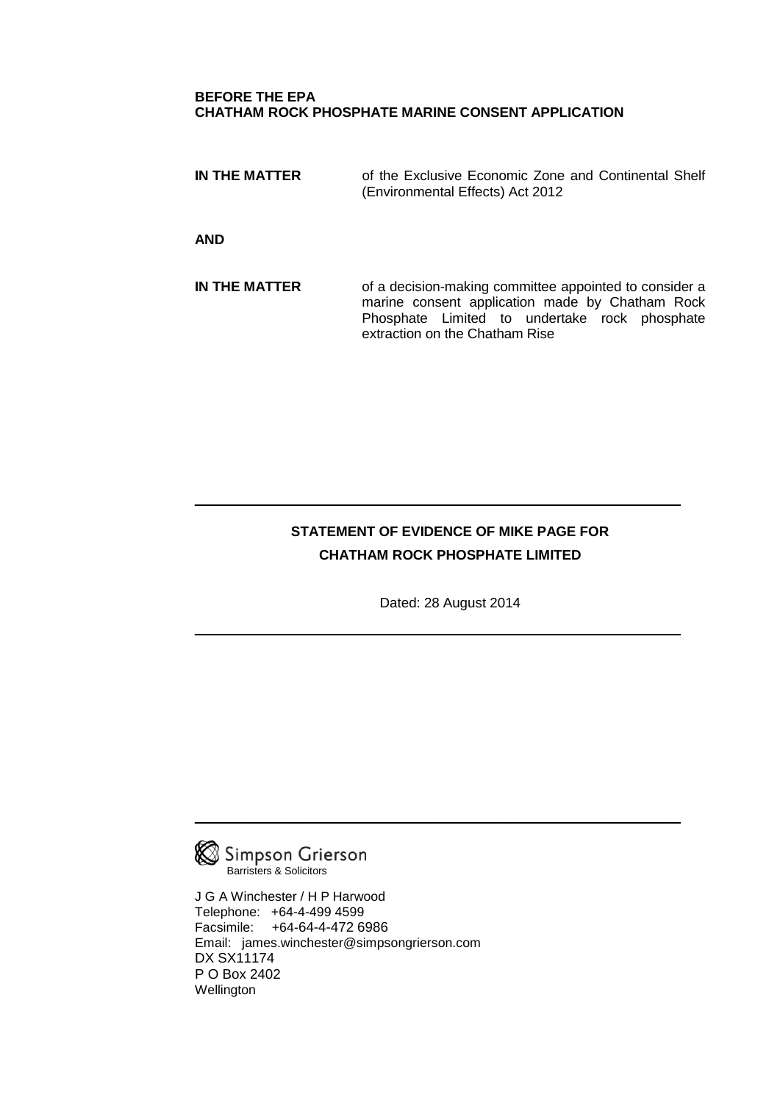## **BEFORE THE EPA CHATHAM ROCK PHOSPHATE MARINE CONSENT APPLICATION**

**IN THE MATTER** of the Exclusive Economic Zone and Continental Shelf (Environmental Effects) Act 2012

**AND**

**IN THE MATTER** of a decision-making committee appointed to consider a marine consent application made by Chatham Rock Phosphate Limited to undertake rock phosphate extraction on the Chatham Rise

# **STATEMENT OF EVIDENCE OF MIKE PAGE FOR CHATHAM ROCK PHOSPHATE LIMITED**

 $\frac{1}{2}$  ,  $\frac{1}{2}$  ,  $\frac{1}{2}$  ,  $\frac{1}{2}$  ,  $\frac{1}{2}$  ,  $\frac{1}{2}$  ,  $\frac{1}{2}$  ,  $\frac{1}{2}$  ,  $\frac{1}{2}$  ,  $\frac{1}{2}$  ,  $\frac{1}{2}$  ,  $\frac{1}{2}$  ,  $\frac{1}{2}$  ,  $\frac{1}{2}$  ,  $\frac{1}{2}$  ,  $\frac{1}{2}$  ,  $\frac{1}{2}$  ,  $\frac{1}{2}$  ,  $\frac{1$ 

Dated: 28 August 2014

 $\frac{1}{2}$  ,  $\frac{1}{2}$  ,  $\frac{1}{2}$  ,  $\frac{1}{2}$  ,  $\frac{1}{2}$  ,  $\frac{1}{2}$  ,  $\frac{1}{2}$  ,  $\frac{1}{2}$  ,  $\frac{1}{2}$  ,  $\frac{1}{2}$  ,  $\frac{1}{2}$  ,  $\frac{1}{2}$  ,  $\frac{1}{2}$  ,  $\frac{1}{2}$  ,  $\frac{1}{2}$  ,  $\frac{1}{2}$  ,  $\frac{1}{2}$  ,  $\frac{1}{2}$  ,  $\frac{1$ 

 $\_$  . The contract of the contract of the contract of the contract of the contract of the contract of the contract of the contract of the contract of the contract of the contract of the contract of the contract of the con



J G A Winchester / H P Harwood Telephone: +64-4-499 4599 Facsimile: +64-64-4-472 6986 Email: james.winchester@simpsongrierson.com DX SX11174 P O Box 2402 **Wellington**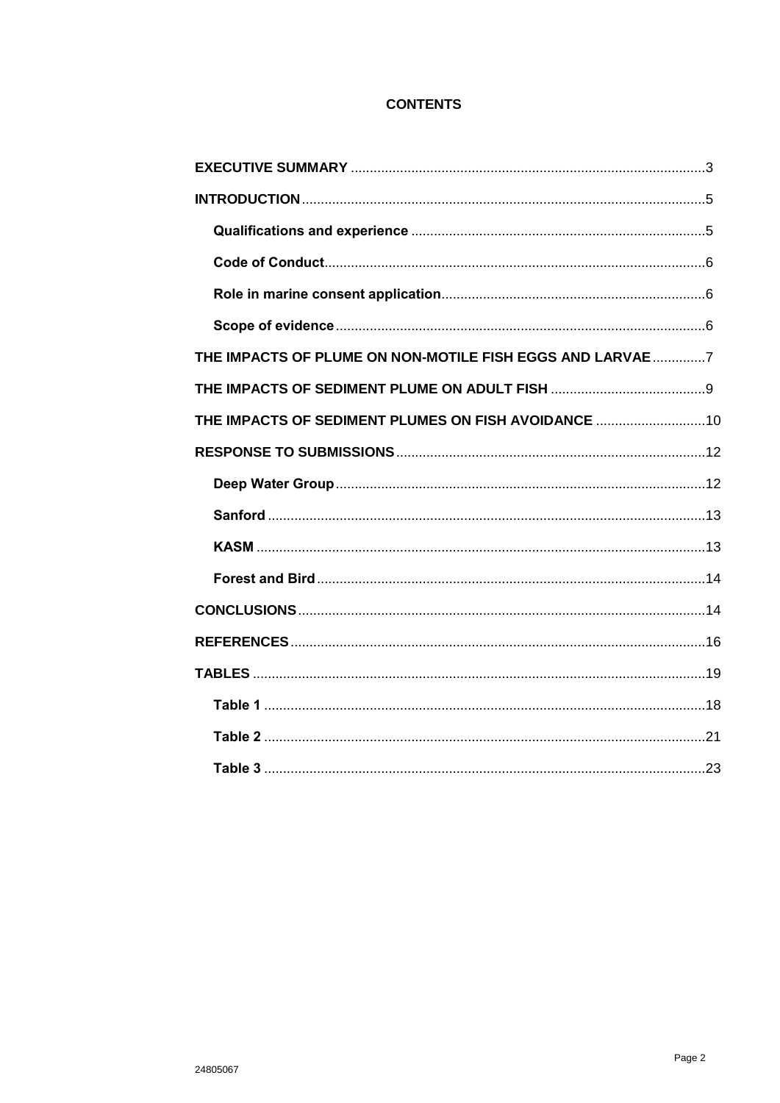# **CONTENTS**

| THE IMPACTS OF PLUME ON NON-MOTILE FISH EGGS AND LARVAE 7 |  |
|-----------------------------------------------------------|--|
|                                                           |  |
| THE IMPACTS OF SEDIMENT PLUMES ON FISH AVOIDANCE  10      |  |
|                                                           |  |
|                                                           |  |
|                                                           |  |
|                                                           |  |
|                                                           |  |
|                                                           |  |
|                                                           |  |
|                                                           |  |
|                                                           |  |
|                                                           |  |
|                                                           |  |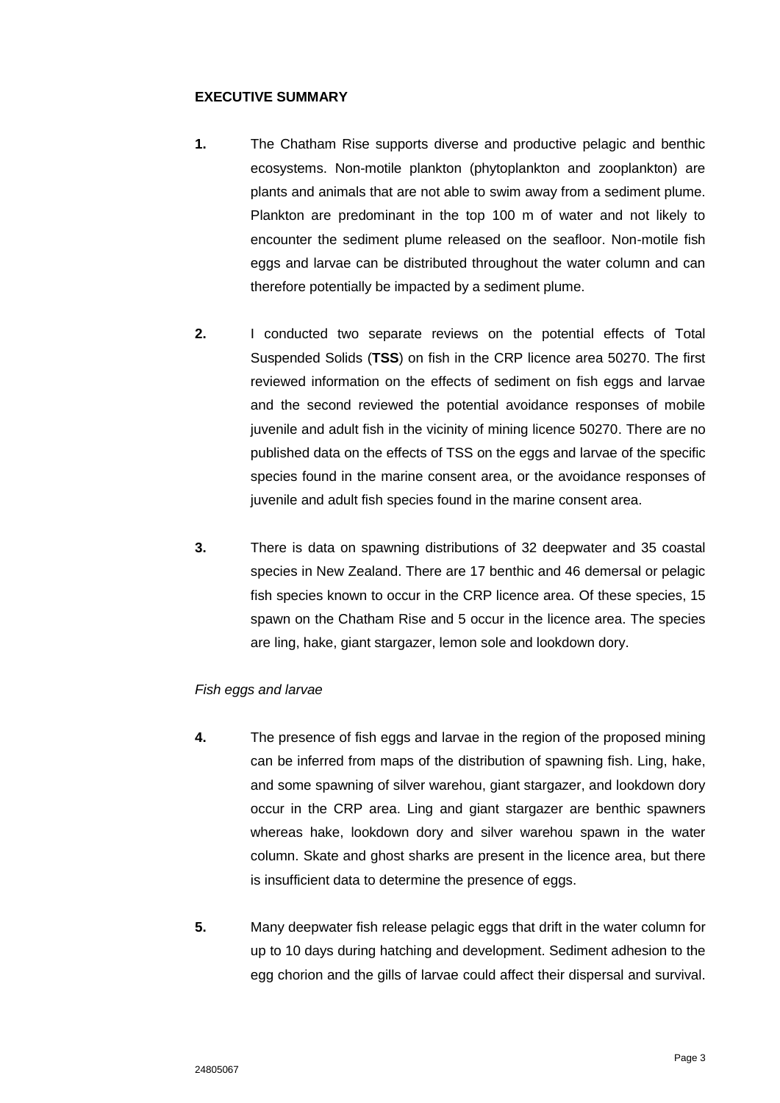## **EXECUTIVE SUMMARY**

- **1.** The Chatham Rise supports diverse and productive pelagic and benthic ecosystems. Non-motile plankton (phytoplankton and zooplankton) are plants and animals that are not able to swim away from a sediment plume. Plankton are predominant in the top 100 m of water and not likely to encounter the sediment plume released on the seafloor. Non-motile fish eggs and larvae can be distributed throughout the water column and can therefore potentially be impacted by a sediment plume.
- **2.** I conducted two separate reviews on the potential effects of Total Suspended Solids (**TSS**) on fish in the CRP licence area 50270. The first reviewed information on the effects of sediment on fish eggs and larvae and the second reviewed the potential avoidance responses of mobile juvenile and adult fish in the vicinity of mining licence 50270. There are no published data on the effects of TSS on the eggs and larvae of the specific species found in the marine consent area, or the avoidance responses of juvenile and adult fish species found in the marine consent area.
- **3.** There is data on spawning distributions of 32 deepwater and 35 coastal species in New Zealand. There are 17 benthic and 46 demersal or pelagic fish species known to occur in the CRP licence area. Of these species, 15 spawn on the Chatham Rise and 5 occur in the licence area. The species are ling, hake, giant stargazer, lemon sole and lookdown dory.

### *Fish eggs and larvae*

- **4.** The presence of fish eggs and larvae in the region of the proposed mining can be inferred from maps of the distribution of spawning fish. Ling, hake, and some spawning of silver warehou, giant stargazer, and lookdown dory occur in the CRP area. Ling and giant stargazer are benthic spawners whereas hake, lookdown dory and silver warehou spawn in the water column. Skate and ghost sharks are present in the licence area, but there is insufficient data to determine the presence of eggs.
- **5.** Many deepwater fish release pelagic eggs that drift in the water column for up to 10 days during hatching and development. Sediment adhesion to the egg chorion and the gills of larvae could affect their dispersal and survival.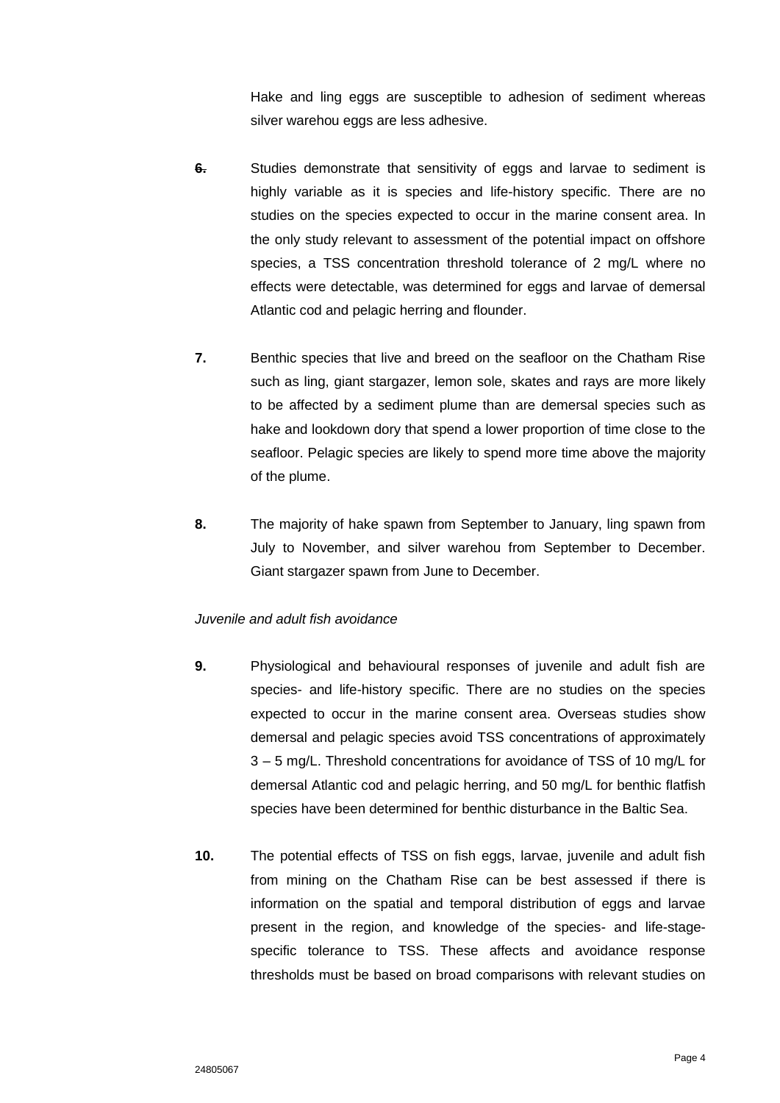Hake and ling eggs are susceptible to adhesion of sediment whereas silver warehou eggs are less adhesive.

- **6.** Studies demonstrate that sensitivity of eggs and larvae to sediment is highly variable as it is species and life-history specific. There are no studies on the species expected to occur in the marine consent area. In the only study relevant to assessment of the potential impact on offshore species, a TSS concentration threshold tolerance of 2 mg/L where no effects were detectable, was determined for eggs and larvae of demersal Atlantic cod and pelagic herring and flounder.
- **7.** Benthic species that live and breed on the seafloor on the Chatham Rise such as ling, giant stargazer, lemon sole, skates and rays are more likely to be affected by a sediment plume than are demersal species such as hake and lookdown dory that spend a lower proportion of time close to the seafloor. Pelagic species are likely to spend more time above the majority of the plume.
- **8.** The majority of hake spawn from September to January, ling spawn from July to November, and silver warehou from September to December. Giant stargazer spawn from June to December.

## *Juvenile and adult fish avoidance*

- **9.** Physiological and behavioural responses of juvenile and adult fish are species- and life-history specific. There are no studies on the species expected to occur in the marine consent area. Overseas studies show demersal and pelagic species avoid TSS concentrations of approximately 3 – 5 mg/L. Threshold concentrations for avoidance of TSS of 10 mg/L for demersal Atlantic cod and pelagic herring, and 50 mg/L for benthic flatfish species have been determined for benthic disturbance in the Baltic Sea.
- **10.** The potential effects of TSS on fish eggs, larvae, juvenile and adult fish from mining on the Chatham Rise can be best assessed if there is information on the spatial and temporal distribution of eggs and larvae present in the region, and knowledge of the species- and life-stagespecific tolerance to TSS. These affects and avoidance response thresholds must be based on broad comparisons with relevant studies on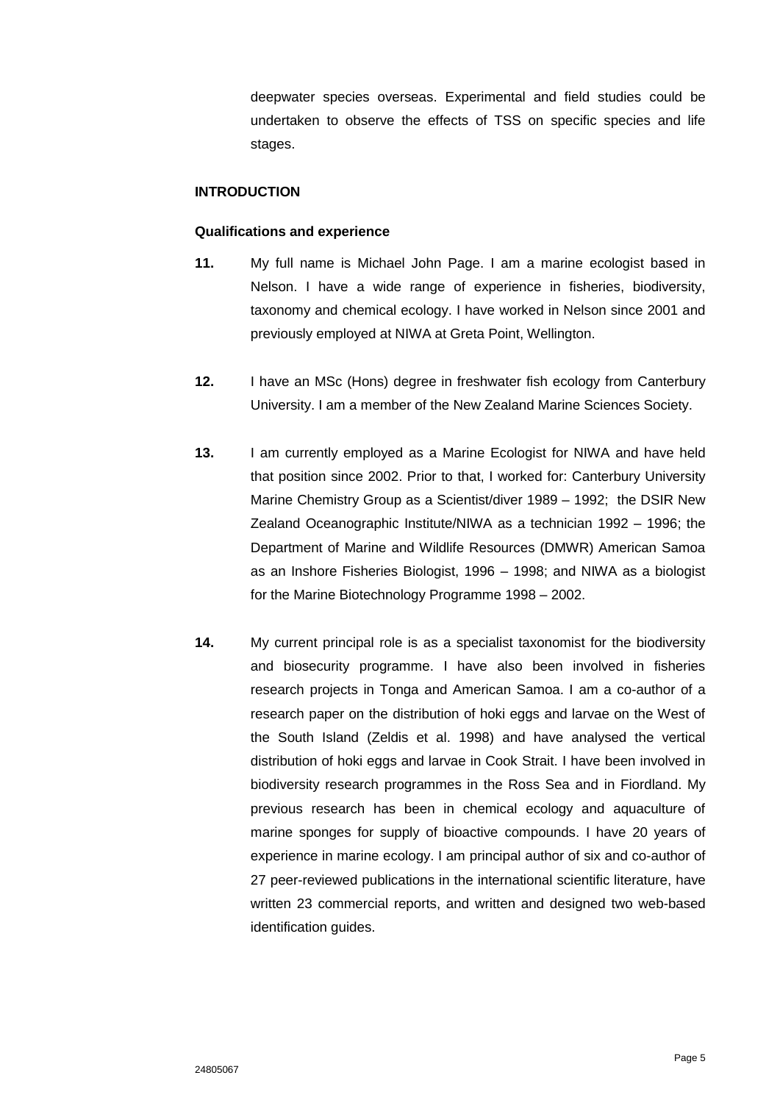deepwater species overseas. Experimental and field studies could be undertaken to observe the effects of TSS on specific species and life stages.

#### **INTRODUCTION**

#### **Qualifications and experience**

- **11.** My full name is Michael John Page. I am a marine ecologist based in Nelson. I have a wide range of experience in fisheries, biodiversity, taxonomy and chemical ecology. I have worked in Nelson since 2001 and previously employed at NIWA at Greta Point, Wellington.
- **12.** I have an MSc (Hons) degree in freshwater fish ecology from Canterbury University. I am a member of the New Zealand Marine Sciences Society.
- **13.** I am currently employed as a Marine Ecologist for NIWA and have held that position since 2002. Prior to that, I worked for: Canterbury University Marine Chemistry Group as a Scientist/diver 1989 – 1992; the DSIR New Zealand Oceanographic Institute/NIWA as a technician 1992 – 1996; the Department of Marine and Wildlife Resources (DMWR) American Samoa as an Inshore Fisheries Biologist, 1996 – 1998; and NIWA as a biologist for the Marine Biotechnology Programme 1998 – 2002.
- **14.** My current principal role is as a specialist taxonomist for the biodiversity and biosecurity programme. I have also been involved in fisheries research projects in Tonga and American Samoa. I am a co-author of a research paper on the distribution of hoki eggs and larvae on the West of the South Island (Zeldis et al. 1998) and have analysed the vertical distribution of hoki eggs and larvae in Cook Strait. I have been involved in biodiversity research programmes in the Ross Sea and in Fiordland. My previous research has been in chemical ecology and aquaculture of marine sponges for supply of bioactive compounds. I have 20 years of experience in marine ecology. I am principal author of six and co-author of 27 peer-reviewed publications in the international scientific literature, have written 23 commercial reports, and written and designed two web-based identification guides.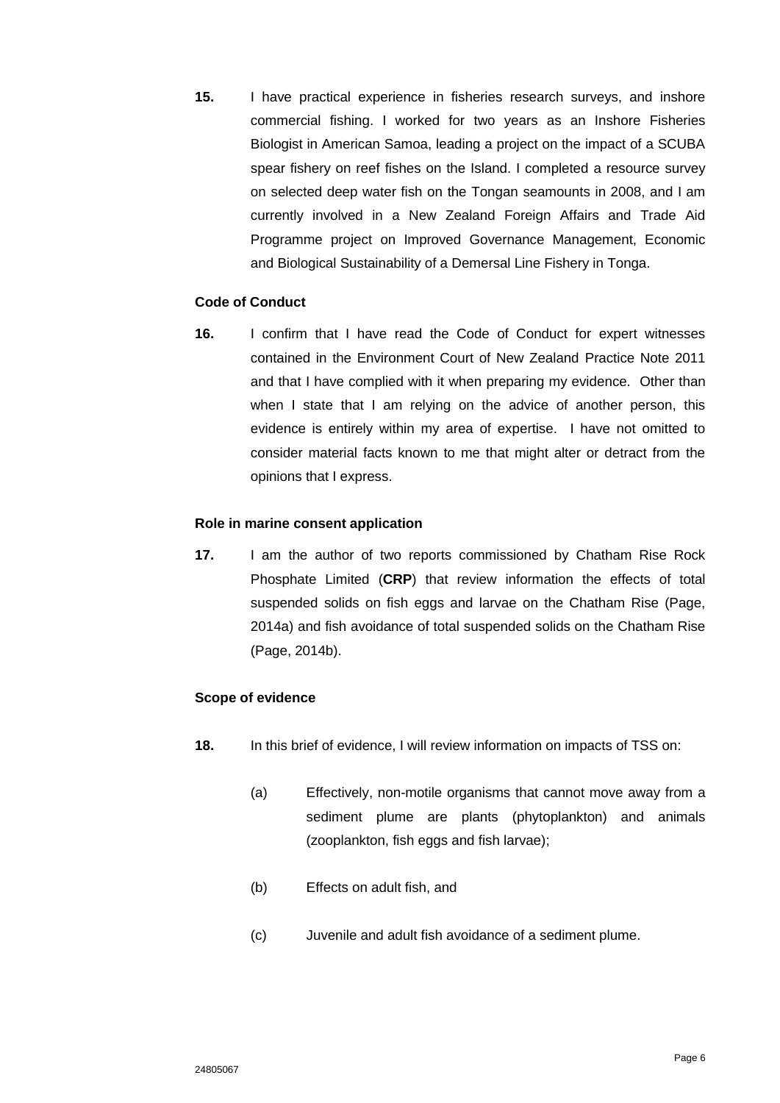**15.** I have practical experience in fisheries research surveys, and inshore commercial fishing. I worked for two years as an Inshore Fisheries Biologist in American Samoa, leading a project on the impact of a SCUBA spear fishery on reef fishes on the Island. I completed a resource survey on selected deep water fish on the Tongan seamounts in 2008, and I am currently involved in a New Zealand Foreign Affairs and Trade Aid Programme project on Improved Governance Management, Economic and Biological Sustainability of a Demersal Line Fishery in Tonga.

### **Code of Conduct**

**16.** I confirm that I have read the Code of Conduct for expert witnesses contained in the Environment Court of New Zealand Practice Note 2011 and that I have complied with it when preparing my evidence. Other than when I state that I am relying on the advice of another person, this evidence is entirely within my area of expertise. I have not omitted to consider material facts known to me that might alter or detract from the opinions that I express.

### **Role in marine consent application**

**17.** I am the author of two reports commissioned by Chatham Rise Rock Phosphate Limited (**CRP**) that review information the effects of total suspended solids on fish eggs and larvae on the Chatham Rise (Page, 2014a) and fish avoidance of total suspended solids on the Chatham Rise (Page, 2014b).

## **Scope of evidence**

- **18.** In this brief of evidence, I will review information on impacts of TSS on:
	- (a) Effectively, non-motile organisms that cannot move away from a sediment plume are plants (phytoplankton) and animals (zooplankton, fish eggs and fish larvae);
	- (b) Effects on adult fish, and
	- (c) Juvenile and adult fish avoidance of a sediment plume.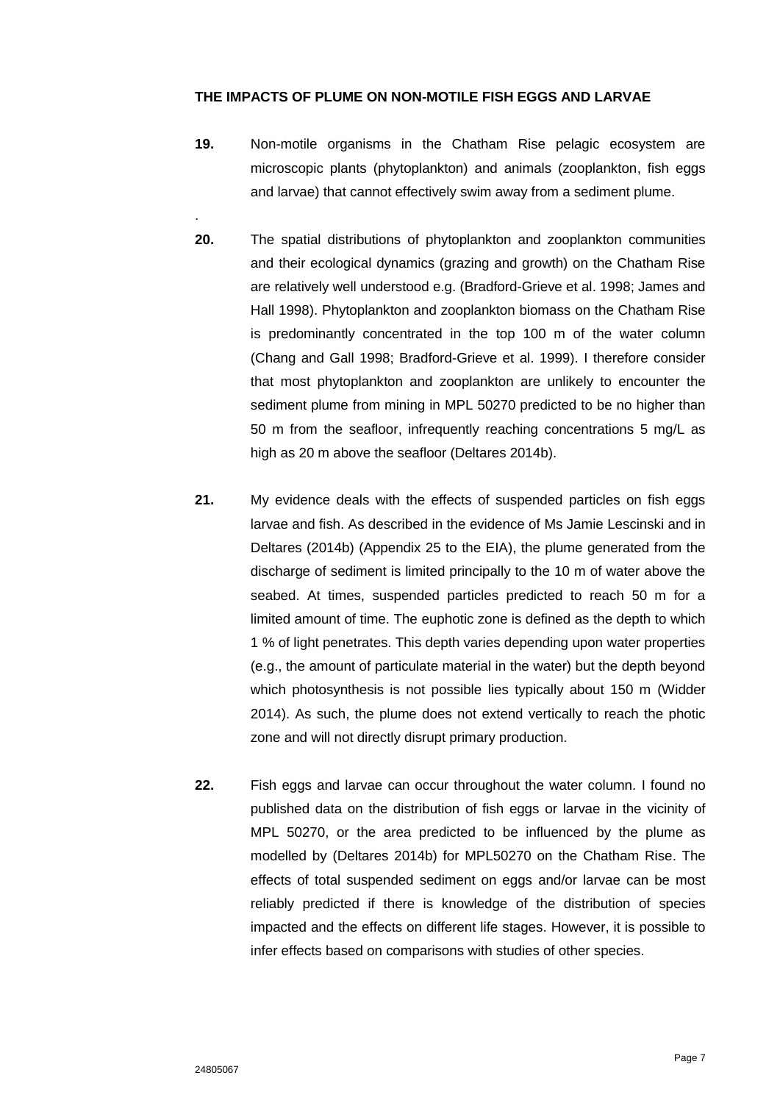## **THE IMPACTS OF PLUME ON NON-MOTILE FISH EGGS AND LARVAE**

- **19.** Non-motile organisms in the Chatham Rise pelagic ecosystem are microscopic plants (phytoplankton) and animals (zooplankton, fish eggs and larvae) that cannot effectively swim away from a sediment plume.
- **20.** The spatial distributions of phytoplankton and zooplankton communities and their ecological dynamics (grazing and growth) on the Chatham Rise are relatively well understood e.g. (Bradford-Grieve et al. 1998; James and Hall 1998). Phytoplankton and zooplankton biomass on the Chatham Rise is predominantly concentrated in the top 100 m of the water column (Chang and Gall 1998; Bradford-Grieve et al. 1999). I therefore consider that most phytoplankton and zooplankton are unlikely to encounter the sediment plume from mining in MPL 50270 predicted to be no higher than 50 m from the seafloor, infrequently reaching concentrations 5 mg/L as high as 20 m above the seafloor (Deltares 2014b).
- **21.** My evidence deals with the effects of suspended particles on fish eggs larvae and fish. As described in the evidence of Ms Jamie Lescinski and in Deltares (2014b) (Appendix 25 to the EIA), the plume generated from the discharge of sediment is limited principally to the 10 m of water above the seabed. At times, suspended particles predicted to reach 50 m for a limited amount of time. The euphotic zone is defined as the depth to which 1 % of light penetrates. This depth varies depending upon water properties (e.g., the amount of particulate material in the water) but the depth beyond which photosynthesis is not possible lies typically about 150 m (Widder 2014). As such, the plume does not extend vertically to reach the photic zone and will not directly disrupt primary production.
- **22.** Fish eggs and larvae can occur throughout the water column. I found no published data on the distribution of fish eggs or larvae in the vicinity of MPL 50270, or the area predicted to be influenced by the plume as modelled by (Deltares 2014b) for MPL50270 on the Chatham Rise. The effects of total suspended sediment on eggs and/or larvae can be most reliably predicted if there is knowledge of the distribution of species impacted and the effects on different life stages. However, it is possible to infer effects based on comparisons with studies of other species.

.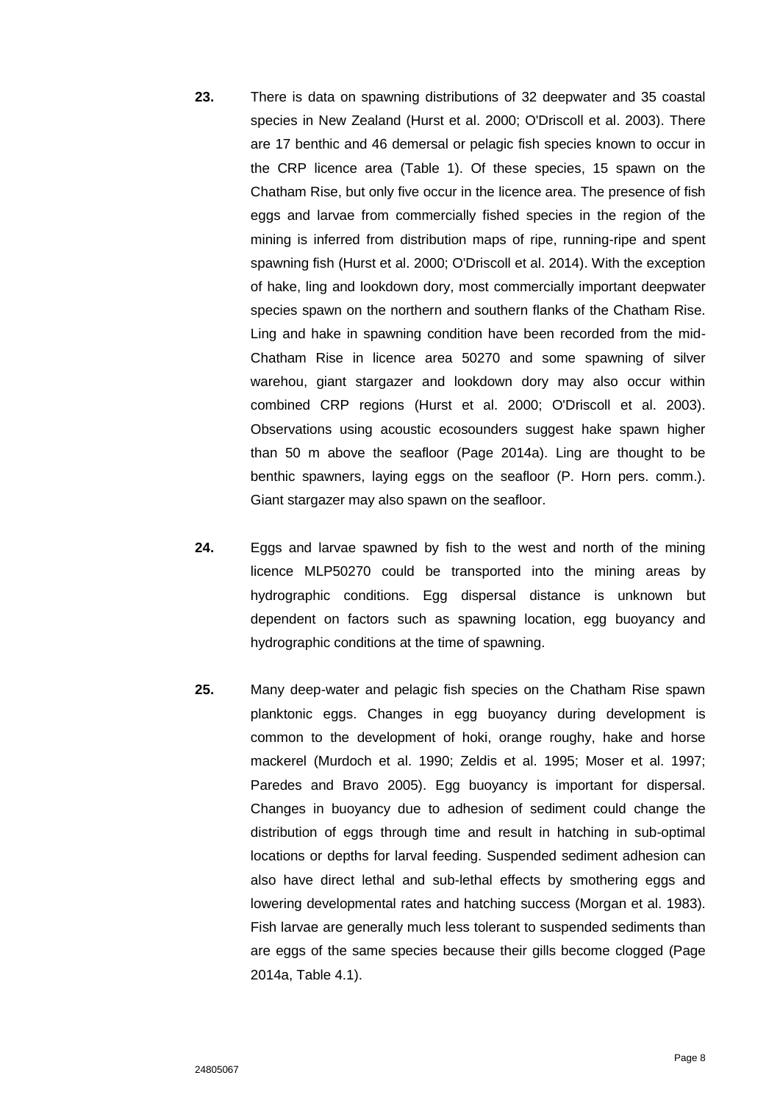- **23.** There is data on spawning distributions of 32 deepwater and 35 coastal species in New Zealand (Hurst et al. 2000; O'Driscoll et al. 2003). There are 17 benthic and 46 demersal or pelagic fish species known to occur in the CRP licence area (Table 1). Of these species, 15 spawn on the Chatham Rise, but only five occur in the licence area. The presence of fish eggs and larvae from commercially fished species in the region of the mining is inferred from distribution maps of ripe, running-ripe and spent spawning fish (Hurst et al. 2000; O'Driscoll et al. 2014). With the exception of hake, ling and lookdown dory, most commercially important deepwater species spawn on the northern and southern flanks of the Chatham Rise. Ling and hake in spawning condition have been recorded from the mid-Chatham Rise in licence area 50270 and some spawning of silver warehou, giant stargazer and lookdown dory may also occur within combined CRP regions (Hurst et al. 2000; O'Driscoll et al. 2003). Observations using acoustic ecosounders suggest hake spawn higher than 50 m above the seafloor (Page 2014a). Ling are thought to be benthic spawners, laying eggs on the seafloor (P. Horn pers. comm.). Giant stargazer may also spawn on the seafloor.
- **24.** Eggs and larvae spawned by fish to the west and north of the mining licence MLP50270 could be transported into the mining areas by hydrographic conditions. Egg dispersal distance is unknown but dependent on factors such as spawning location, egg buoyancy and hydrographic conditions at the time of spawning.
- **25.** Many deep-water and pelagic fish species on the Chatham Rise spawn planktonic eggs. Changes in egg buoyancy during development is common to the development of hoki, orange roughy, hake and horse mackerel (Murdoch et al. 1990; Zeldis et al. 1995; Moser et al. 1997; Paredes and Bravo 2005). Egg buoyancy is important for dispersal. Changes in buoyancy due to adhesion of sediment could change the distribution of eggs through time and result in hatching in sub-optimal locations or depths for larval feeding. Suspended sediment adhesion can also have direct lethal and sub-lethal effects by smothering eggs and lowering developmental rates and hatching success (Morgan et al. 1983). Fish larvae are generally much less tolerant to suspended sediments than are eggs of the same species because their gills become clogged (Page 2014a, Table 4.1).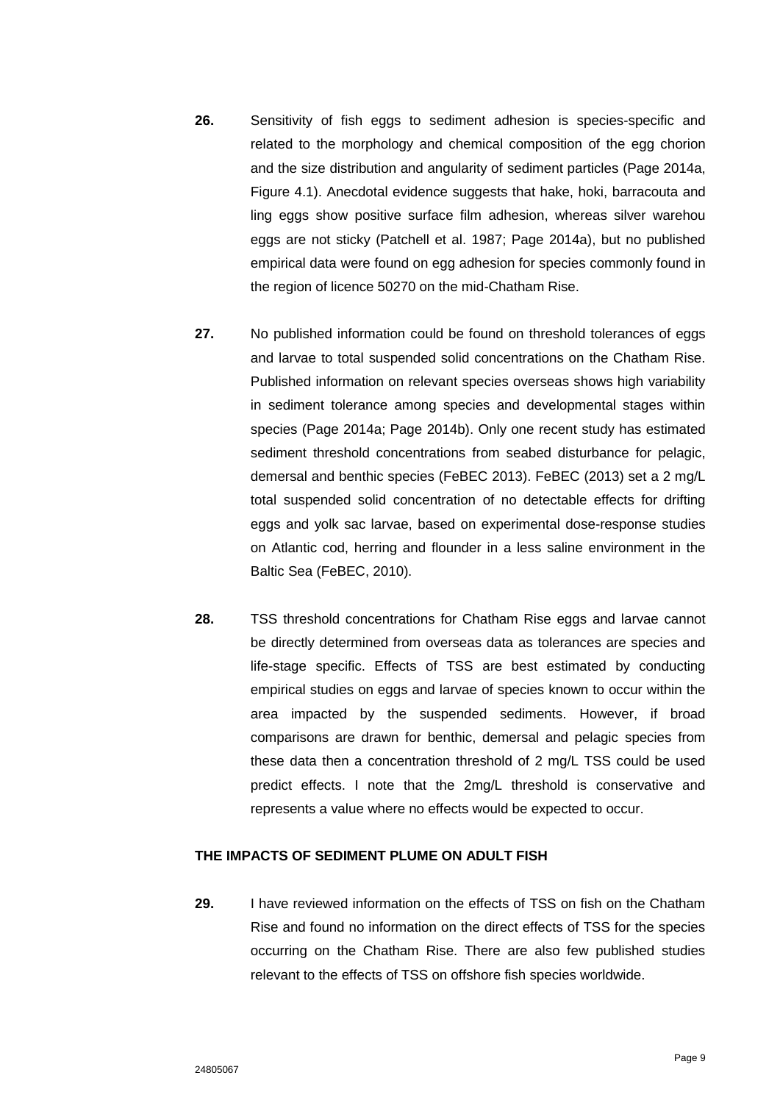- **26.** Sensitivity of fish eggs to sediment adhesion is species-specific and related to the morphology and chemical composition of the egg chorion and the size distribution and angularity of sediment particles (Page 2014a, Figure 4.1). Anecdotal evidence suggests that hake, hoki, barracouta and ling eggs show positive surface film adhesion, whereas silver warehou eggs are not sticky (Patchell et al. 1987; Page 2014a), but no published empirical data were found on egg adhesion for species commonly found in the region of licence 50270 on the mid-Chatham Rise.
- **27.** No published information could be found on threshold tolerances of eggs and larvae to total suspended solid concentrations on the Chatham Rise. Published information on relevant species overseas shows high variability in sediment tolerance among species and developmental stages within species (Page 2014a; Page 2014b). Only one recent study has estimated sediment threshold concentrations from seabed disturbance for pelagic, demersal and benthic species (FeBEC 2013). FeBEC (2013) set a 2 mg/L total suspended solid concentration of no detectable effects for drifting eggs and yolk sac larvae, based on experimental dose-response studies on Atlantic cod, herring and flounder in a less saline environment in the Baltic Sea (FeBEC, 2010).
- **28.** TSS threshold concentrations for Chatham Rise eggs and larvae cannot be directly determined from overseas data as tolerances are species and life-stage specific. Effects of TSS are best estimated by conducting empirical studies on eggs and larvae of species known to occur within the area impacted by the suspended sediments. However, if broad comparisons are drawn for benthic, demersal and pelagic species from these data then a concentration threshold of 2 mg/L TSS could be used predict effects. I note that the 2mg/L threshold is conservative and represents a value where no effects would be expected to occur.

### **THE IMPACTS OF SEDIMENT PLUME ON ADULT FISH**

**29.** I have reviewed information on the effects of TSS on fish on the Chatham Rise and found no information on the direct effects of TSS for the species occurring on the Chatham Rise. There are also few published studies relevant to the effects of TSS on offshore fish species worldwide.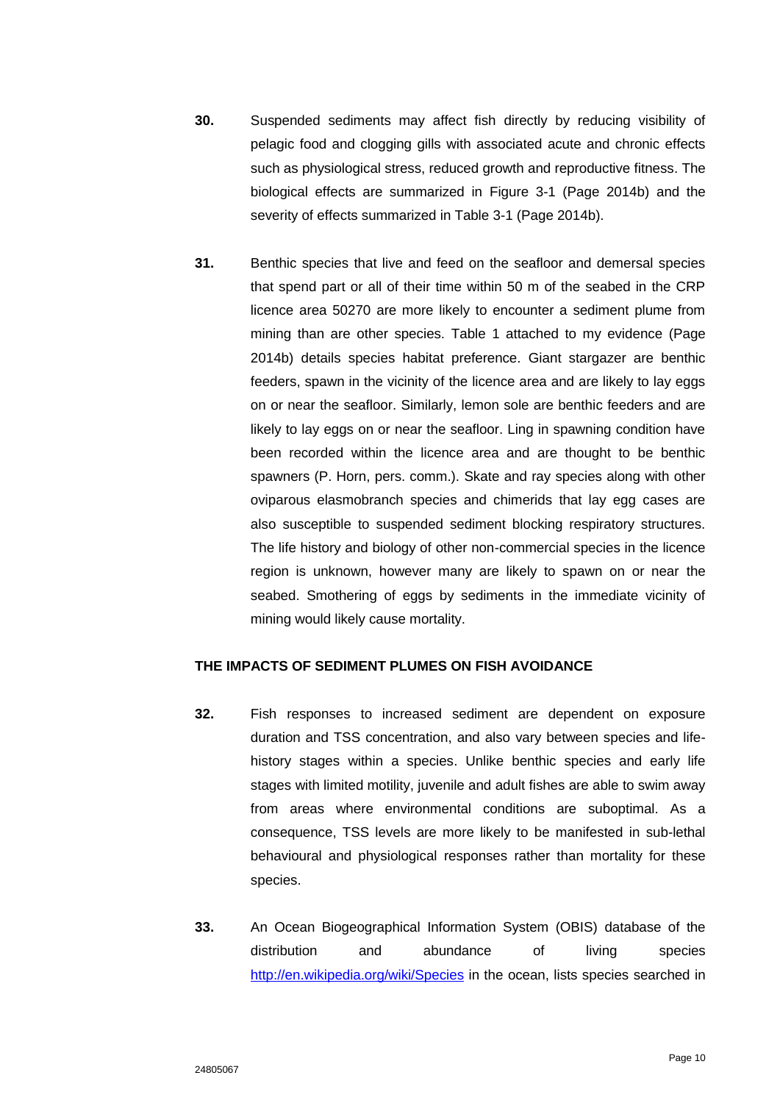- **30.** Suspended sediments may affect fish directly by reducing visibility of pelagic food and clogging gills with associated acute and chronic effects such as physiological stress, reduced growth and reproductive fitness. The biological effects are summarized in Figure 3-1 (Page 2014b) and the severity of effects summarized in Table 3-1 (Page 2014b).
- **31.** Benthic species that live and feed on the seafloor and demersal species that spend part or all of their time within 50 m of the seabed in the CRP licence area 50270 are more likely to encounter a sediment plume from mining than are other species. Table 1 attached to my evidence (Page 2014b) details species habitat preference. Giant stargazer are benthic feeders, spawn in the vicinity of the licence area and are likely to lay eggs on or near the seafloor. Similarly, lemon sole are benthic feeders and are likely to lay eggs on or near the seafloor. Ling in spawning condition have been recorded within the licence area and are thought to be benthic spawners (P. Horn, pers. comm.). Skate and ray species along with other oviparous elasmobranch species and chimerids that lay egg cases are also susceptible to suspended sediment blocking respiratory structures. The life history and biology of other non-commercial species in the licence region is unknown, however many are likely to spawn on or near the seabed. Smothering of eggs by sediments in the immediate vicinity of mining would likely cause mortality.

#### **THE IMPACTS OF SEDIMENT PLUMES ON FISH AVOIDANCE**

- **32.** Fish responses to increased sediment are dependent on exposure duration and TSS concentration, and also vary between species and lifehistory stages within a species. Unlike benthic species and early life stages with limited motility, juvenile and adult fishes are able to swim away from areas where environmental conditions are suboptimal. As a consequence, TSS levels are more likely to be manifested in sub-lethal behavioural and physiological responses rather than mortality for these species.
- **33.** An Ocean Biogeographical Information System (OBIS) database of the distribution and abundance of living species <http://en.wikipedia.org/wiki/Species> in the ocean, lists species searched in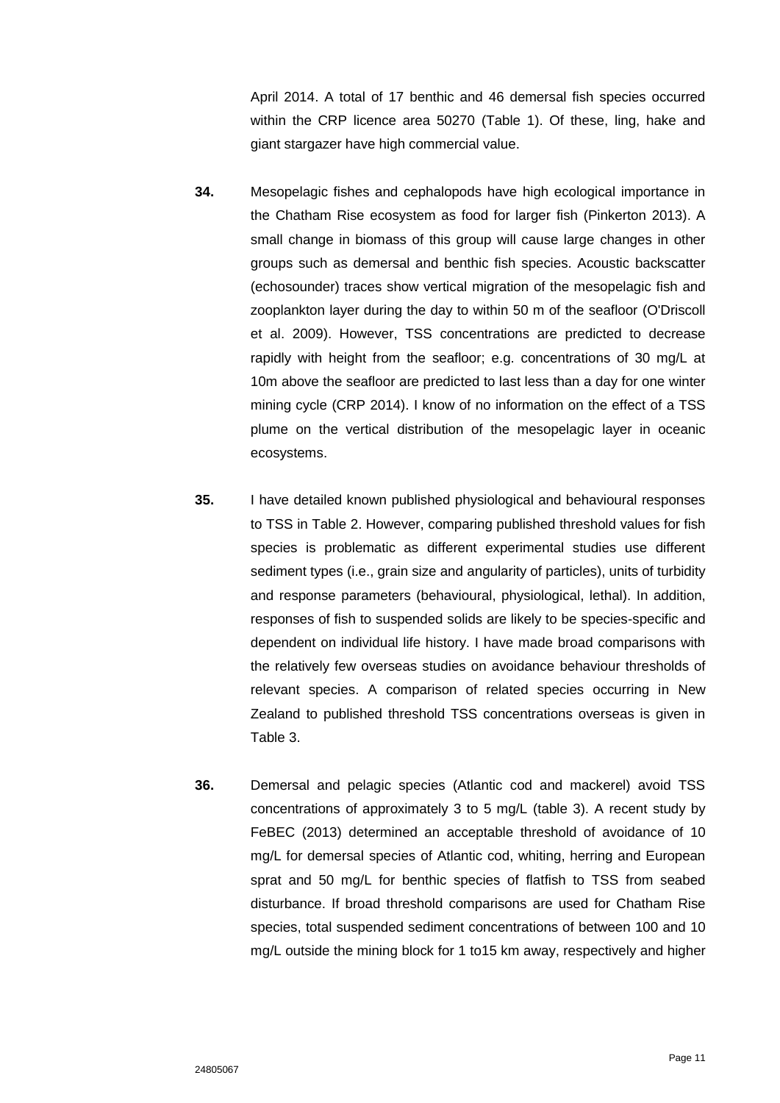April 2014. A total of 17 benthic and 46 demersal fish species occurred within the CRP licence area 50270 (Table 1). Of these, ling, hake and giant stargazer have high commercial value.

- **34.** Mesopelagic fishes and cephalopods have high ecological importance in the Chatham Rise ecosystem as food for larger fish (Pinkerton 2013). A small change in biomass of this group will cause large changes in other groups such as demersal and benthic fish species. Acoustic backscatter (echosounder) traces show vertical migration of the mesopelagic fish and zooplankton layer during the day to within 50 m of the seafloor (O'Driscoll et al. 2009). However, TSS concentrations are predicted to decrease rapidly with height from the seafloor; e.g. concentrations of 30 mg/L at 10m above the seafloor are predicted to last less than a day for one winter mining cycle (CRP 2014). I know of no information on the effect of a TSS plume on the vertical distribution of the mesopelagic layer in oceanic ecosystems.
- **35.** I have detailed known published physiological and behavioural responses to TSS in Table 2. However, comparing published threshold values for fish species is problematic as different experimental studies use different sediment types (i.e., grain size and angularity of particles), units of turbidity and response parameters (behavioural, physiological, lethal). In addition, responses of fish to suspended solids are likely to be species-specific and dependent on individual life history. I have made broad comparisons with the relatively few overseas studies on avoidance behaviour thresholds of relevant species. A comparison of related species occurring in New Zealand to published threshold TSS concentrations overseas is given in Table 3.
- **36.** Demersal and pelagic species (Atlantic cod and mackerel) avoid TSS concentrations of approximately 3 to 5 mg/L (table 3). A recent study by FeBEC (2013) determined an acceptable threshold of avoidance of 10 mg/L for demersal species of Atlantic cod, whiting, herring and European sprat and 50 mg/L for benthic species of flatfish to TSS from seabed disturbance. If broad threshold comparisons are used for Chatham Rise species, total suspended sediment concentrations of between 100 and 10 mg/L outside the mining block for 1 to15 km away, respectively and higher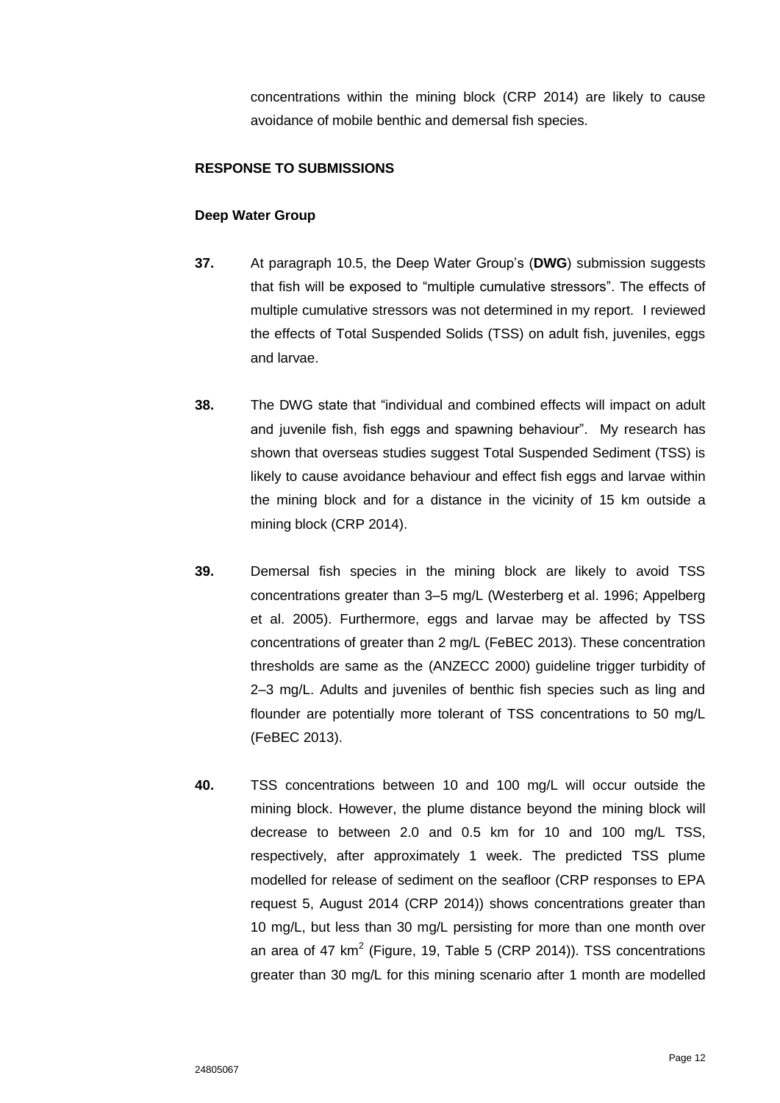concentrations within the mining block (CRP 2014) are likely to cause avoidance of mobile benthic and demersal fish species.

## **RESPONSE TO SUBMISSIONS**

## **Deep Water Group**

- **37.** At paragraph 10.5, the Deep Water Group's (**DWG**) submission suggests that fish will be exposed to "multiple cumulative stressors". The effects of multiple cumulative stressors was not determined in my report. I reviewed the effects of Total Suspended Solids (TSS) on adult fish, juveniles, eggs and larvae.
- **38.** The DWG state that "individual and combined effects will impact on adult and juvenile fish, fish eggs and spawning behaviour". My research has shown that overseas studies suggest Total Suspended Sediment (TSS) is likely to cause avoidance behaviour and effect fish eggs and larvae within the mining block and for a distance in the vicinity of 15 km outside a mining block (CRP 2014).
- **39.** Demersal fish species in the mining block are likely to avoid TSS concentrations greater than 3–5 mg/L (Westerberg et al. 1996; Appelberg et al. 2005). Furthermore, eggs and larvae may be affected by TSS concentrations of greater than 2 mg/L (FeBEC 2013). These concentration thresholds are same as the (ANZECC 2000) guideline trigger turbidity of 2–3 mg/L. Adults and juveniles of benthic fish species such as ling and flounder are potentially more tolerant of TSS concentrations to 50 mg/L (FeBEC 2013).
- **40.** TSS concentrations between 10 and 100 mg/L will occur outside the mining block. However, the plume distance beyond the mining block will decrease to between 2.0 and 0.5 km for 10 and 100 mg/L TSS, respectively, after approximately 1 week. The predicted TSS plume modelled for release of sediment on the seafloor (CRP responses to EPA request 5, August 2014 (CRP 2014)) shows concentrations greater than 10 mg/L, but less than 30 mg/L persisting for more than one month over an area of 47 km<sup>2</sup> (Figure, 19, Table 5 (CRP 2014)). TSS concentrations greater than 30 mg/L for this mining scenario after 1 month are modelled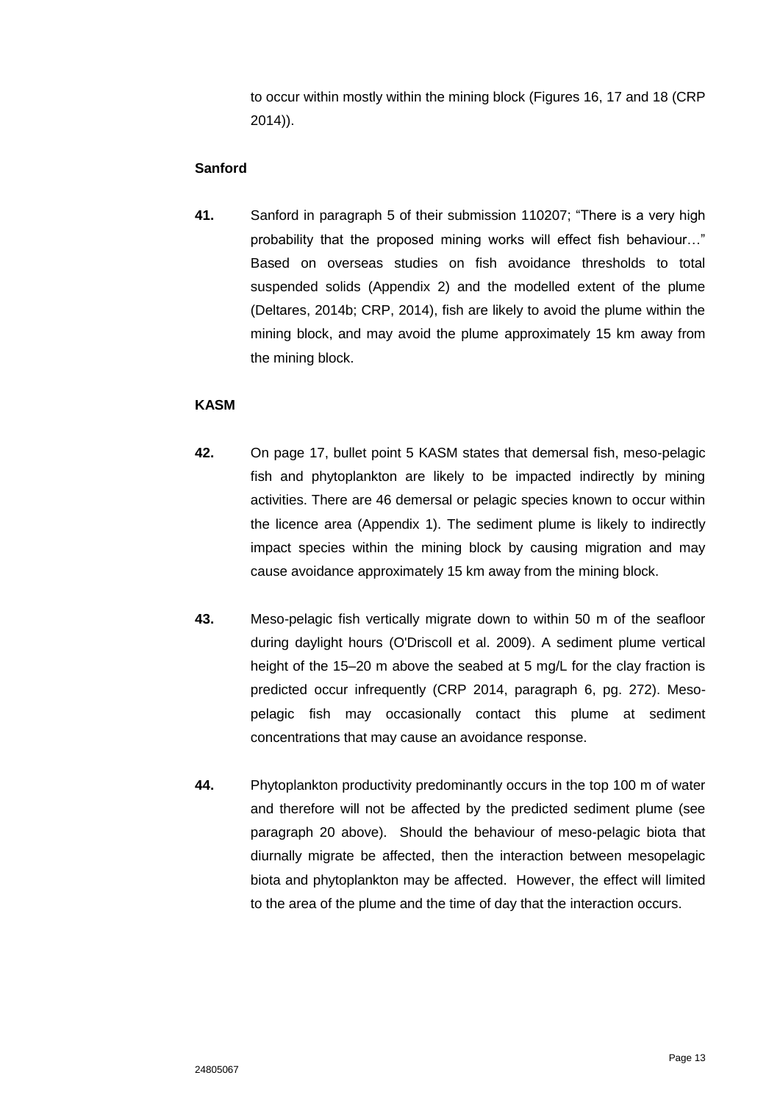to occur within mostly within the mining block (Figures 16, 17 and 18 (CRP 2014)).

## **Sanford**

**41.** Sanford in paragraph 5 of their submission 110207; "There is a very high probability that the proposed mining works will effect fish behaviour…" Based on overseas studies on fish avoidance thresholds to total suspended solids (Appendix 2) and the modelled extent of the plume (Deltares, 2014b; CRP, 2014), fish are likely to avoid the plume within the mining block, and may avoid the plume approximately 15 km away from the mining block.

# **KASM**

- **42.** On page 17, bullet point 5 KASM states that demersal fish, meso-pelagic fish and phytoplankton are likely to be impacted indirectly by mining activities. There are 46 demersal or pelagic species known to occur within the licence area (Appendix 1). The sediment plume is likely to indirectly impact species within the mining block by causing migration and may cause avoidance approximately 15 km away from the mining block.
- **43.** Meso-pelagic fish vertically migrate down to within 50 m of the seafloor during daylight hours (O'Driscoll et al. 2009). A sediment plume vertical height of the 15–20 m above the seabed at 5 mg/L for the clay fraction is predicted occur infrequently (CRP 2014, paragraph 6, pg. 272). Mesopelagic fish may occasionally contact this plume at sediment concentrations that may cause an avoidance response.
- **44.** Phytoplankton productivity predominantly occurs in the top 100 m of water and therefore will not be affected by the predicted sediment plume (see paragraph 20 above). Should the behaviour of meso-pelagic biota that diurnally migrate be affected, then the interaction between mesopelagic biota and phytoplankton may be affected. However, the effect will limited to the area of the plume and the time of day that the interaction occurs.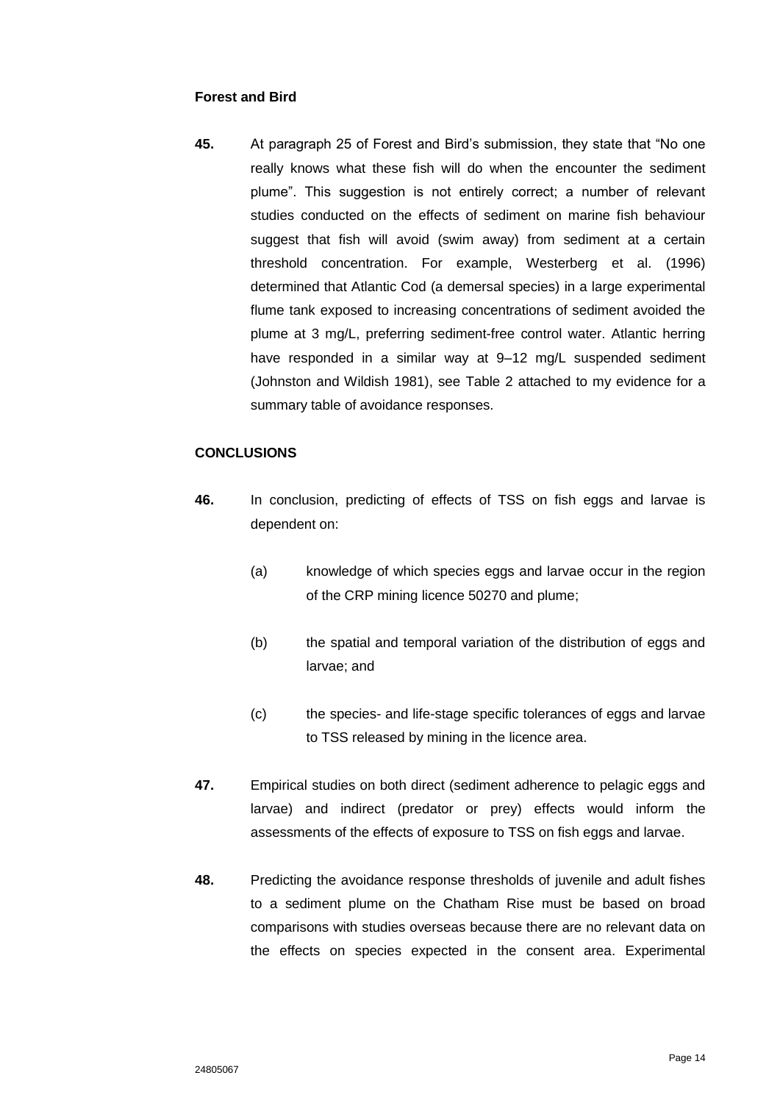## **Forest and Bird**

**45.** At paragraph 25 of Forest and Bird's submission, they state that "No one really knows what these fish will do when the encounter the sediment plume". This suggestion is not entirely correct; a number of relevant studies conducted on the effects of sediment on marine fish behaviour suggest that fish will avoid (swim away) from sediment at a certain threshold concentration. For example, Westerberg et al. (1996) determined that Atlantic Cod (a demersal species) in a large experimental flume tank exposed to increasing concentrations of sediment avoided the plume at 3 mg/L, preferring sediment-free control water. Atlantic herring have responded in a similar way at 9–12 mg/L suspended sediment (Johnston and Wildish 1981), see Table 2 attached to my evidence for a summary table of avoidance responses.

### **CONCLUSIONS**

- **46.** In conclusion, predicting of effects of TSS on fish eggs and larvae is dependent on:
	- (a) knowledge of which species eggs and larvae occur in the region of the CRP mining licence 50270 and plume;
	- (b) the spatial and temporal variation of the distribution of eggs and larvae; and
	- (c) the species- and life-stage specific tolerances of eggs and larvae to TSS released by mining in the licence area.
- **47.** Empirical studies on both direct (sediment adherence to pelagic eggs and larvae) and indirect (predator or prey) effects would inform the assessments of the effects of exposure to TSS on fish eggs and larvae.
- **48.** Predicting the avoidance response thresholds of juvenile and adult fishes to a sediment plume on the Chatham Rise must be based on broad comparisons with studies overseas because there are no relevant data on the effects on species expected in the consent area. Experimental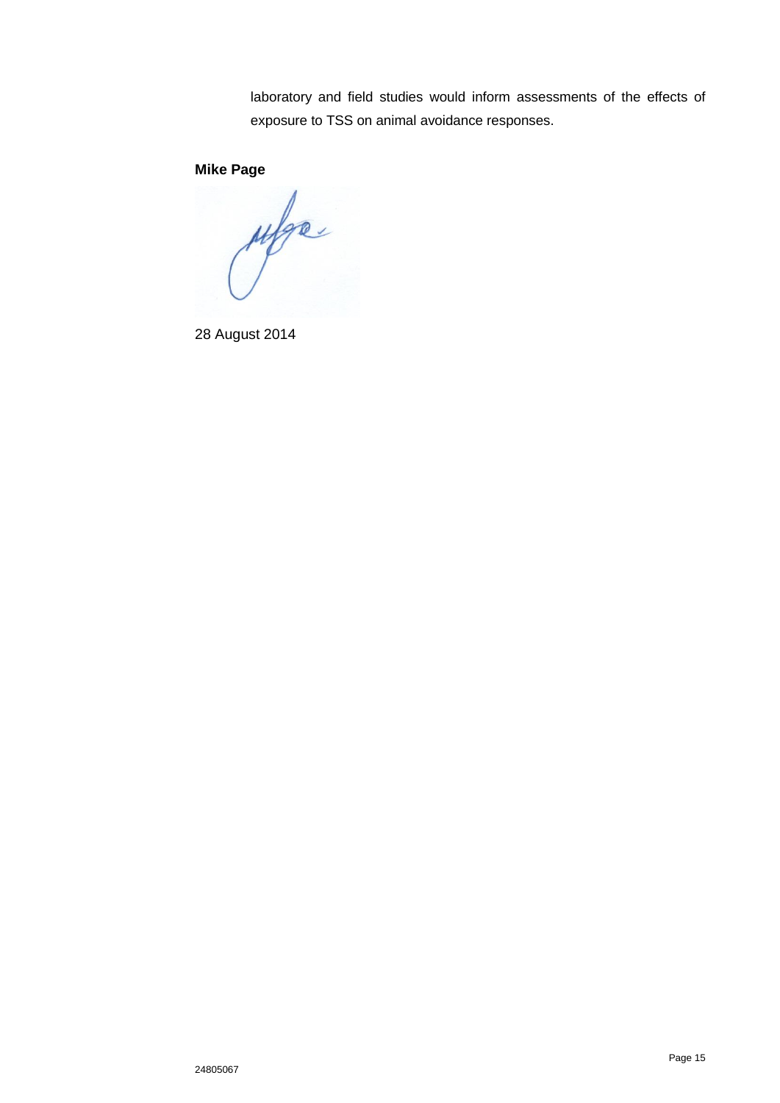laboratory and field studies would inform assessments of the effects of exposure to TSS on animal avoidance responses.

# **Mike Page**

ufge.

28 August 2014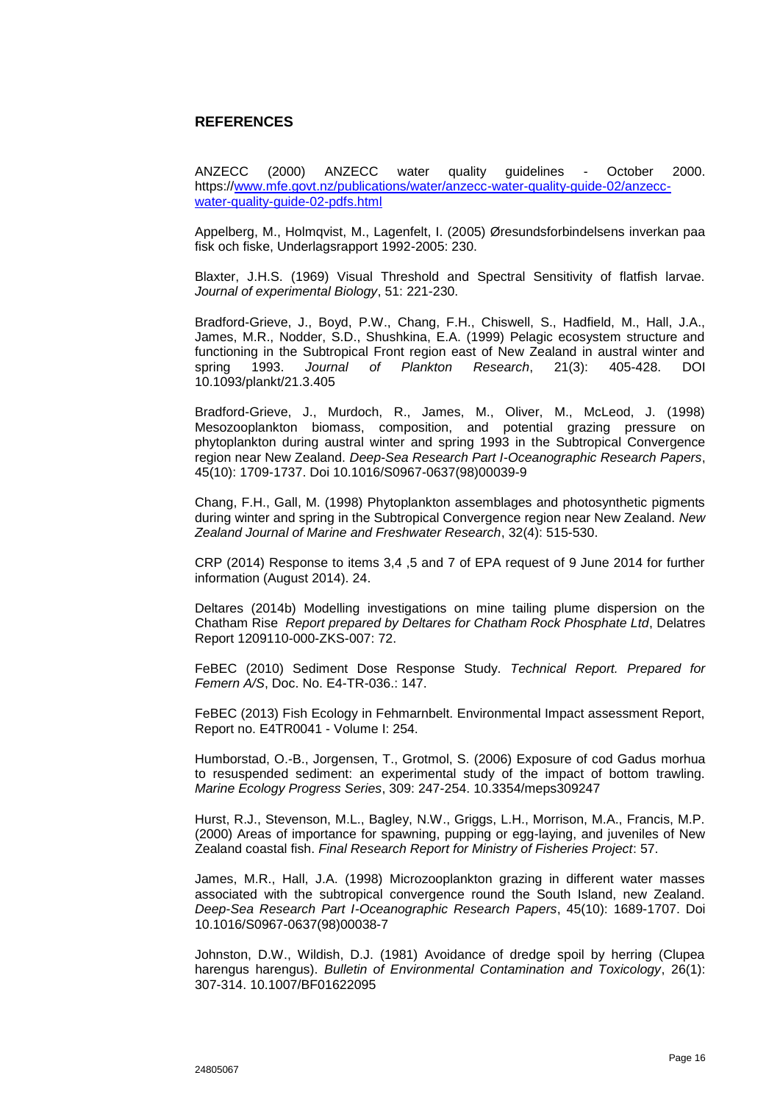#### **REFERENCES**

ANZECC (2000) ANZECC water quality guidelines - October 2000. https:/[/www.mfe.govt.nz/publications/water/anzecc-water-quality-guide-02/anzecc](http://www.mfe.govt.nz/publications/water/anzecc-water-quality-guide-02/anzecc-water-quality-guide-02-pdfs.html)[water-quality-guide-02-pdfs.html](http://www.mfe.govt.nz/publications/water/anzecc-water-quality-guide-02/anzecc-water-quality-guide-02-pdfs.html)

Appelberg, M., Holmqvist, M., Lagenfelt, I. (2005) Øresundsforbindelsens inverkan paa fisk och fiske, Underlagsrapport 1992-2005: 230.

Blaxter, J.H.S. (1969) Visual Threshold and Spectral Sensitivity of flatfish larvae. *Journal of experimental Biology*, 51: 221-230.

Bradford-Grieve, J., Boyd, P.W., Chang, F.H., Chiswell, S., Hadfield, M., Hall, J.A., James, M.R., Nodder, S.D., Shushkina, E.A. (1999) Pelagic ecosystem structure and functioning in the Subtropical Front region east of New Zealand in austral winter and spring 1993. *Journal of Plankton Research*, 21(3): 405-428. DOI 10.1093/plankt/21.3.405

Bradford-Grieve, J., Murdoch, R., James, M., Oliver, M., McLeod, J. (1998) Mesozooplankton biomass, composition, and potential grazing pressure on phytoplankton during austral winter and spring 1993 in the Subtropical Convergence region near New Zealand. *Deep-Sea Research Part I-Oceanographic Research Papers*, 45(10): 1709-1737. Doi 10.1016/S0967-0637(98)00039-9

Chang, F.H., Gall, M. (1998) Phytoplankton assemblages and photosynthetic pigments during winter and spring in the Subtropical Convergence region near New Zealand. *New Zealand Journal of Marine and Freshwater Research*, 32(4): 515-530.

CRP (2014) Response to items 3,4 ,5 and 7 of EPA request of 9 June 2014 for further information (August 2014). 24.

Deltares (2014b) Modelling investigations on mine tailing plume dispersion on the Chatham Rise *Report prepared by Deltares for Chatham Rock Phosphate Ltd*, Delatres Report 1209110-000-ZKS-007: 72.

FeBEC (2010) Sediment Dose Response Study. *Technical Report. Prepared for Femern A/S*, Doc. No. E4-TR-036.: 147.

FeBEC (2013) Fish Ecology in Fehmarnbelt. Environmental Impact assessment Report, Report no. E4TR0041 - Volume I: 254.

Humborstad, O.-B., Jorgensen, T., Grotmol, S. (2006) Exposure of cod Gadus morhua to resuspended sediment: an experimental study of the impact of bottom trawling. *Marine Ecology Progress Series*, 309: 247-254. 10.3354/meps309247

Hurst, R.J., Stevenson, M.L., Bagley, N.W., Griggs, L.H., Morrison, M.A., Francis, M.P. (2000) Areas of importance for spawning, pupping or egg-laying, and juveniles of New Zealand coastal fish. *Final Research Report for Ministry of Fisheries Project*: 57.

James, M.R., Hall, J.A. (1998) Microzooplankton grazing in different water masses associated with the subtropical convergence round the South Island, new Zealand. *Deep-Sea Research Part I-Oceanographic Research Papers*, 45(10): 1689-1707. Doi 10.1016/S0967-0637(98)00038-7

Johnston, D.W., Wildish, D.J. (1981) Avoidance of dredge spoil by herring (Clupea harengus harengus). *Bulletin of Environmental Contamination and Toxicology*, 26(1): 307-314. 10.1007/BF01622095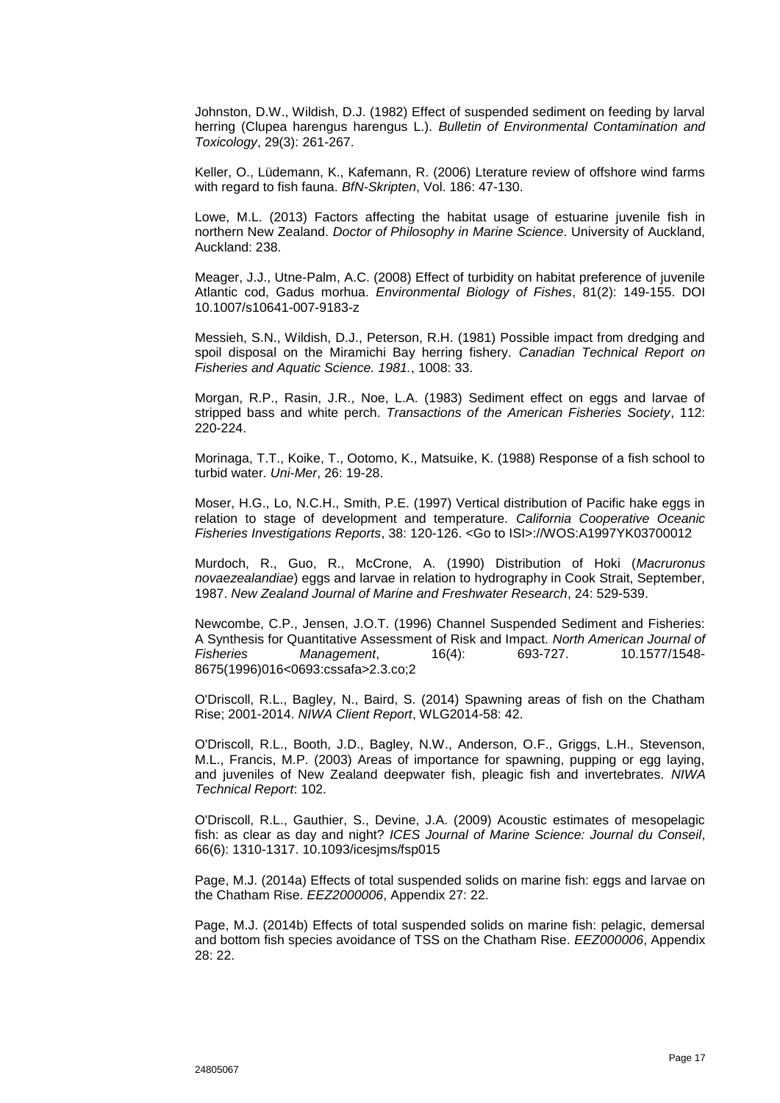Johnston, D.W., Wildish, D.J. (1982) Effect of suspended sediment on feeding by larval herring (Clupea harengus harengus L.). *Bulletin of Environmental Contamination and Toxicology*, 29(3): 261-267.

Keller, O., Lüdemann, K., Kafemann, R. (2006) Lterature review of offshore wind farms with regard to fish fauna. *BfN-Skripten*, Vol. 186: 47-130.

Lowe, M.L. (2013) Factors affecting the habitat usage of estuarine juvenile fish in northern New Zealand. *Doctor of Philosophy in Marine Science*. University of Auckland, Auckland: 238.

Meager, J.J., Utne-Palm, A.C. (2008) Effect of turbidity on habitat preference of juvenile Atlantic cod, Gadus morhua. *Environmental Biology of Fishes*, 81(2): 149-155. DOI 10.1007/s10641-007-9183-z

Messieh, S.N., Wildish, D.J., Peterson, R.H. (1981) Possible impact from dredging and spoil disposal on the Miramichi Bay herring fishery. *Canadian Technical Report on Fisheries and Aquatic Science. 1981.*, 1008: 33.

Morgan, R.P., Rasin, J.R., Noe, L.A. (1983) Sediment effect on eggs and larvae of stripped bass and white perch. *Transactions of the American Fisheries Society*, 112: 220-224.

Morinaga, T.T., Koike, T., Ootomo, K., Matsuike, K. (1988) Response of a fish school to turbid water. *Uni-Mer*, 26: 19-28.

Moser, H.G., Lo, N.C.H., Smith, P.E. (1997) Vertical distribution of Pacific hake eggs in relation to stage of development and temperature. *California Cooperative Oceanic Fisheries Investigations Reports*, 38: 120-126. <Go to ISI>://WOS:A1997YK03700012

Murdoch, R., Guo, R., McCrone, A. (1990) Distribution of Hoki (*Macruronus novaezealandiae*) eggs and larvae in relation to hydrography in Cook Strait, September, 1987. *New Zealand Journal of Marine and Freshwater Research*, 24: 529-539.

Newcombe, C.P., Jensen, J.O.T. (1996) Channel Suspended Sediment and Fisheries: A Synthesis for Quantitative Assessment of Risk and Impact. *North American Journal of Fisheries Management*, 16(4): 693-727. 10.1577/1548- 8675(1996)016<0693:cssafa>2.3.co;2

O'Driscoll, R.L., Bagley, N., Baird, S. (2014) Spawning areas of fish on the Chatham Rise; 2001-2014. *NIWA Client Report*, WLG2014-58: 42.

O'Driscoll, R.L., Booth, J.D., Bagley, N.W., Anderson, O.F., Griggs, L.H., Stevenson, M.L., Francis, M.P. (2003) Areas of importance for spawning, pupping or egg laying, and juveniles of New Zealand deepwater fish, pleagic fish and invertebrates. *NIWA Technical Report*: 102.

O'Driscoll, R.L., Gauthier, S., Devine, J.A. (2009) Acoustic estimates of mesopelagic fish: as clear as day and night? *ICES Journal of Marine Science: Journal du Conseil*, 66(6): 1310-1317. 10.1093/icesjms/fsp015

Page, M.J. (2014a) Effects of total suspended solids on marine fish: eggs and larvae on the Chatham Rise. *EEZ2000006*, Appendix 27: 22.

Page, M.J. (2014b) Effects of total suspended solids on marine fish: pelagic, demersal and bottom fish species avoidance of TSS on the Chatham Rise. *EEZ000006*, Appendix 28: 22.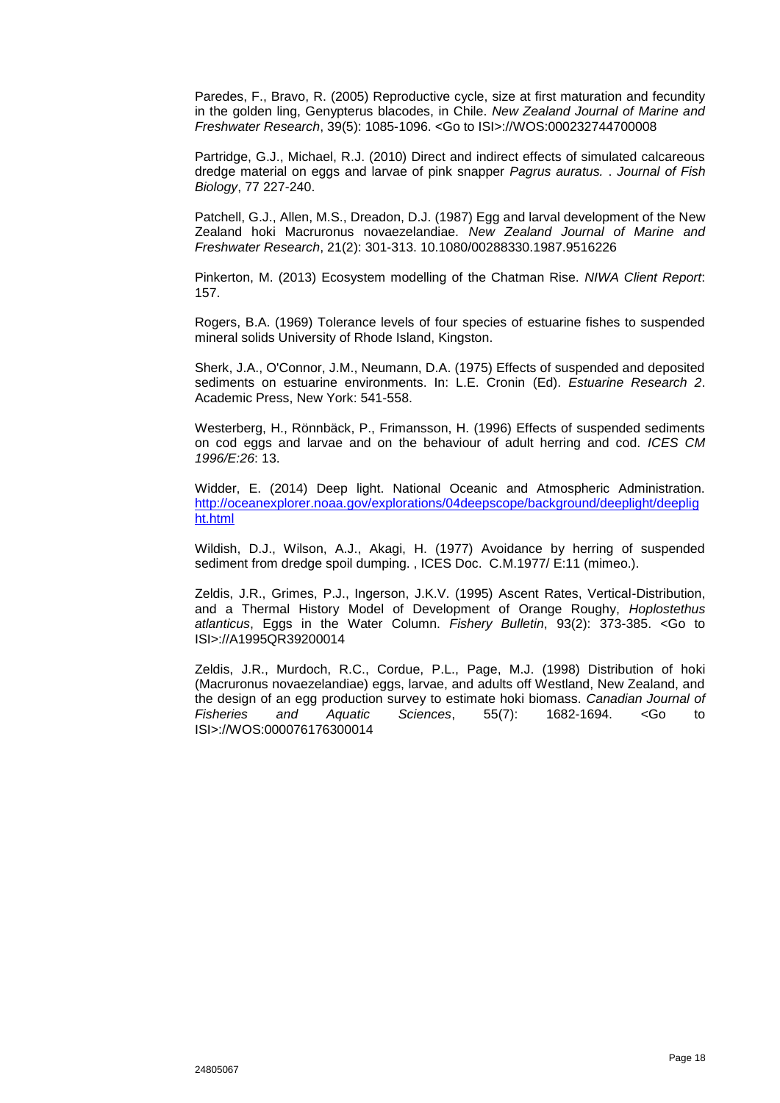Paredes, F., Bravo, R. (2005) Reproductive cycle, size at first maturation and fecundity in the golden ling, Genypterus blacodes, in Chile. *New Zealand Journal of Marine and Freshwater Research*, 39(5): 1085-1096. <Go to ISI>://WOS:000232744700008

Partridge, G.J., Michael, R.J. (2010) Direct and indirect effects of simulated calcareous dredge material on eggs and larvae of pink snapper *Pagrus auratus.* . *Journal of Fish Biology*, 77 227-240.

Patchell, G.J., Allen, M.S., Dreadon, D.J. (1987) Egg and larval development of the New Zealand hoki Macruronus novaezelandiae. *New Zealand Journal of Marine and Freshwater Research*, 21(2): 301-313. 10.1080/00288330.1987.9516226

Pinkerton, M. (2013) Ecosystem modelling of the Chatman Rise. *NIWA Client Report*: 157.

Rogers, B.A. (1969) Tolerance levels of four species of estuarine fishes to suspended mineral solids University of Rhode Island, Kingston.

Sherk, J.A., O'Connor, J.M., Neumann, D.A. (1975) Effects of suspended and deposited sediments on estuarine environments. In: L.E. Cronin (Ed). *Estuarine Research 2*. Academic Press, New York: 541-558.

Westerberg, H., Rönnbäck, P., Frimansson, H. (1996) Effects of suspended sediments on cod eggs and larvae and on the behaviour of adult herring and cod. *ICES CM 1996/E:26*: 13.

Widder, E. (2014) Deep light. National Oceanic and Atmospheric Administration. [http://oceanexplorer.noaa.gov/explorations/04deepscope/background/deeplight/deeplig](http://oceanexplorer.noaa.gov/explorations/04deepscope/background/deeplight/deeplight.html) [ht.html](http://oceanexplorer.noaa.gov/explorations/04deepscope/background/deeplight/deeplight.html)

Wildish, D.J., Wilson, A.J., Akagi, H. (1977) Avoidance by herring of suspended sediment from dredge spoil dumping. , ICES Doc. C.M.1977/ E:11 (mimeo.).

Zeldis, J.R., Grimes, P.J., Ingerson, J.K.V. (1995) Ascent Rates, Vertical-Distribution, and a Thermal History Model of Development of Orange Roughy, *Hoplostethus atlanticus*, Eggs in the Water Column. *Fishery Bulletin*, 93(2): 373-385. <Go to ISI>://A1995QR39200014

Zeldis, J.R., Murdoch, R.C., Cordue, P.L., Page, M.J. (1998) Distribution of hoki (Macruronus novaezelandiae) eggs, larvae, and adults off Westland, New Zealand, and the design of an egg production survey to estimate hoki biomass. *Canadian Journal of Fisheries and Aquatic Sciences*, 55(7): 1682-1694. <Go to ISI>://WOS:000076176300014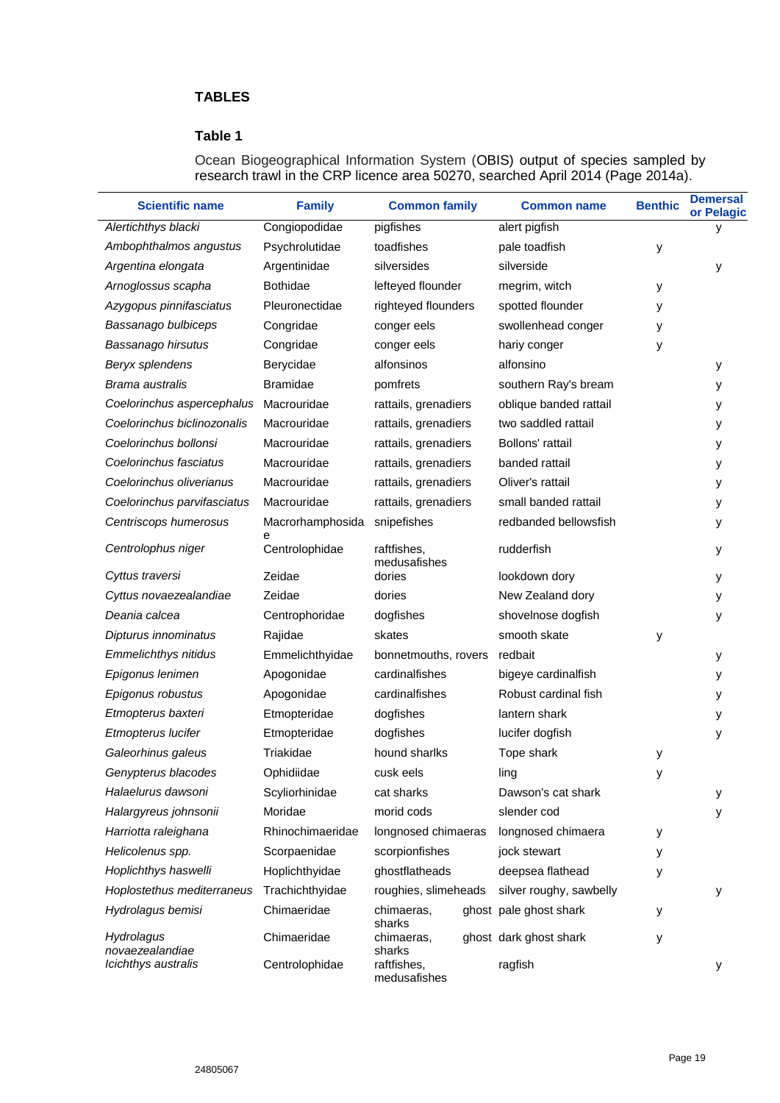# **TABLES**

# **Table 1**

Ocean Biogeographical Information System (OBIS) output of species sampled by research trawl in the CRP licence area 50270, searched April 2014 (Page 2014a).

| <b>Scientific name</b>        | <b>Family</b>       | <b>Common family</b>        | <b>Common name</b>      | <b>Benthic</b> | <b>Demersal</b><br>or Pelagic |
|-------------------------------|---------------------|-----------------------------|-------------------------|----------------|-------------------------------|
| Alertichthys blacki           | Congiopodidae       | pigfishes                   | alert pigfish           |                | у                             |
| Ambophthalmos angustus        | Psychrolutidae      | toadfishes                  | pale toadfish           | у              |                               |
| Argentina elongata            | Argentinidae        | silversides                 | silverside              |                | у                             |
| Arnoglossus scapha            | <b>Bothidae</b>     | lefteyed flounder           | megrim, witch           | у              |                               |
| Azygopus pinnifasciatus       | Pleuronectidae      | righteyed flounders         | spotted flounder        | у              |                               |
| Bassanago bulbiceps           | Congridae           | conger eels                 | swollenhead conger      | у              |                               |
| Bassanago hirsutus            | Congridae           | conger eels                 | hariy conger            | у              |                               |
| Beryx splendens               | Berycidae           | alfonsinos                  | alfonsino               |                | у                             |
| Brama australis               | <b>Bramidae</b>     | pomfrets                    | southern Ray's bream    |                | у                             |
| Coelorinchus aspercephalus    | Macrouridae         | rattails, grenadiers        | oblique banded rattail  |                | у                             |
| Coelorinchus biclinozonalis   | Macrouridae         | rattails, grenadiers        | two saddled rattail     |                | У                             |
| Coelorinchus bollonsi         | Macrouridae         | rattails, grenadiers        | Bollons' rattail        |                | у                             |
| Coelorinchus fasciatus        | Macrouridae         | rattails, grenadiers        | banded rattail          |                | У                             |
| Coelorinchus oliverianus      | Macrouridae         | rattails, grenadiers        | Oliver's rattail        |                | у                             |
| Coelorinchus parvifasciatus   | Macrouridae         | rattails, grenadiers        | small banded rattail    |                | У                             |
| Centriscops humerosus         | Macrorhamphosida    | snipefishes                 | redbanded bellowsfish   |                | у                             |
| Centrolophus niger            | е<br>Centrolophidae | raftfishes,<br>medusafishes | rudderfish              |                | у                             |
| Cyttus traversi               | Zeidae              | dories                      | lookdown dory           |                | у                             |
| Cyttus novaezealandiae        | Zeidae              | dories                      | New Zealand dory        |                | у                             |
| Deania calcea                 | Centrophoridae      | dogfishes                   | shovelnose dogfish      |                | у                             |
| Dipturus innominatus          | Rajidae             | skates                      | smooth skate            | y              |                               |
| <b>Emmelichthys nitidus</b>   | Emmelichthyidae     | bonnetmouths, rovers        | redbait                 |                | у                             |
| Epigonus lenimen              | Apogonidae          | cardinalfishes              | bigeye cardinalfish     |                | у                             |
| Epigonus robustus             | Apogonidae          | cardinalfishes              | Robust cardinal fish    |                | у                             |
| Etmopterus baxteri            | Etmopteridae        | dogfishes                   | lantern shark           |                | у                             |
| Etmopterus lucifer            | Etmopteridae        | dogfishes                   | lucifer dogfish         |                | у                             |
| Galeorhinus galeus            | Triakidae           | hound sharlks               | Tope shark              | у              |                               |
| Genypterus blacodes           | Ophidiidae          | cusk eels                   | ling                    | у              |                               |
| Halaelurus dawsoni            | Scyliorhinidae      | cat sharks                  | Dawson's cat shark      |                | у                             |
| Halargyreus johnsonii         | Moridae             | morid cods                  | slender cod             |                | у                             |
| Harriotta raleighana          | Rhinochimaeridae    | longnosed chimaeras         | longnosed chimaera      | у              |                               |
| Helicolenus spp.              | Scorpaenidae        | scorpionfishes              | jock stewart            | у              |                               |
| Hoplichthys haswelli          | Hoplichthyidae      | ghostflatheads              | deepsea flathead        | у              |                               |
| Hoplostethus mediterraneus    | Trachichthyidae     | roughies, slimeheads        | silver roughy, sawbelly |                | у                             |
| Hydrolagus bemisi             | Chimaeridae         | chimaeras,<br>sharks        | ghost pale ghost shark  | у              |                               |
| Hydrolagus<br>novaezealandiae | Chimaeridae         | chimaeras,<br>sharks        | ghost dark ghost shark  | у              |                               |
| Icichthys australis           | Centrolophidae      | raftfishes,<br>medusafishes | ragfish                 |                | у                             |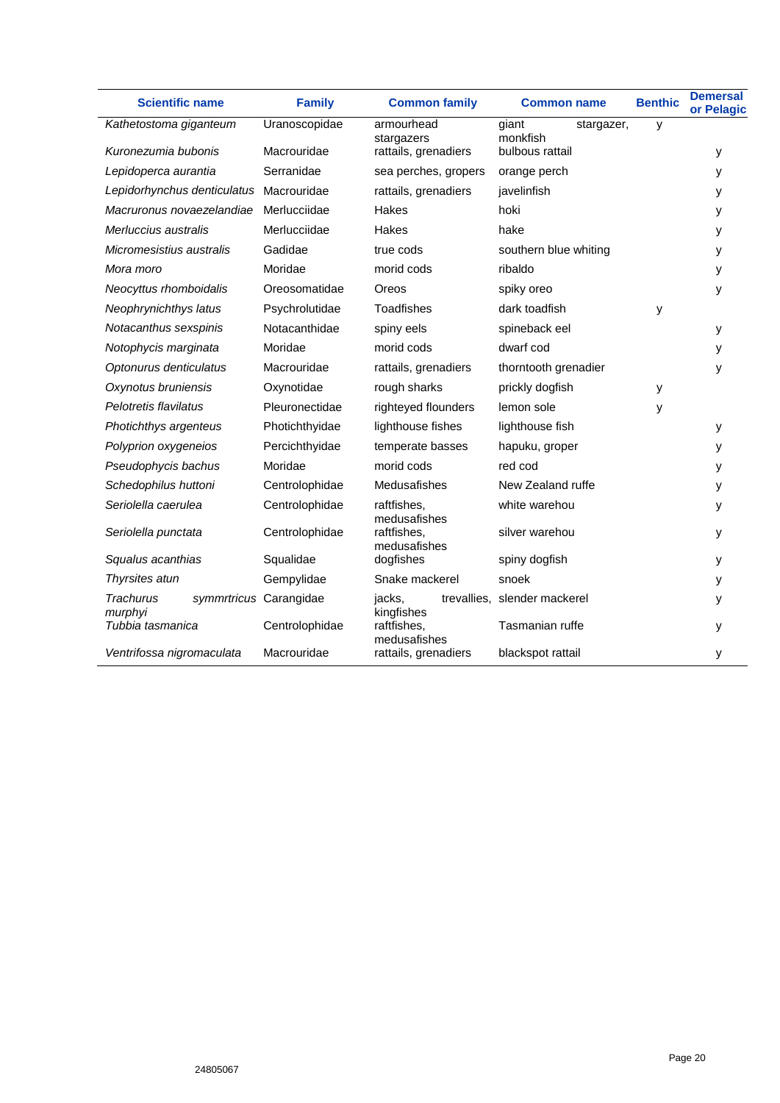| <b>Scientific name</b>                  | <b>Family</b>          | <b>Common family</b>        | <b>Common name</b>              | <b>Benthic</b> | <b>Demersal</b><br>or Pelagic |
|-----------------------------------------|------------------------|-----------------------------|---------------------------------|----------------|-------------------------------|
| Kathetostoma giganteum                  | Uranoscopidae          | armourhead<br>stargazers    | giant<br>stargazer,<br>monkfish | y              |                               |
| Kuronezumia bubonis                     | Macrouridae            | rattails, grenadiers        | bulbous rattail                 |                | у                             |
| Lepidoperca aurantia                    | Serranidae             | sea perches, gropers        | orange perch                    |                | У                             |
| Lepidorhynchus denticulatus Macrouridae |                        | rattails, grenadiers        | javelinfish                     |                | у                             |
| Macruronus novaezelandiae               | Merlucciidae           | Hakes                       | hoki                            |                | у                             |
| Merluccius australis                    | Merlucciidae           | Hakes                       | hake                            |                | у                             |
| Micromesistius australis                | Gadidae                | true cods                   | southern blue whiting           |                | у                             |
| Mora moro                               | Moridae                | morid cods                  | ribaldo                         |                | у                             |
| Neocyttus rhomboidalis                  | Oreosomatidae          | Oreos                       | spiky oreo                      |                | у                             |
| Neophrynichthys latus                   | Psychrolutidae         | Toadfishes                  | dark toadfish                   | y              |                               |
| Notacanthus sexspinis                   | Notacanthidae          | spiny eels                  | spineback eel                   |                | у                             |
| Notophycis marginata                    | Moridae                | morid cods                  | dwarf cod                       |                | У                             |
| Optonurus denticulatus                  | Macrouridae            | rattails, grenadiers        | thorntooth grenadier            |                | y                             |
| Oxynotus bruniensis                     | Oxynotidae             | rough sharks                | prickly dogfish                 | у              |                               |
| Pelotretis flavilatus                   | Pleuronectidae         | righteyed flounders         | lemon sole                      | у              |                               |
| Photichthys argenteus                   | Photichthyidae         | lighthouse fishes           | lighthouse fish                 |                | у                             |
| Polyprion oxygeneios                    | Percichthyidae         | temperate basses            | hapuku, groper                  |                | y                             |
| Pseudophycis bachus                     | Moridae                | morid cods                  | red cod                         |                | y                             |
| Schedophilus huttoni                    | Centrolophidae         | <b>Medusafishes</b>         | New Zealand ruffe               |                | у                             |
| Seriolella caerulea                     | Centrolophidae         | raftfishes.<br>medusafishes | white warehou                   |                | у                             |
| Seriolella punctata                     | Centrolophidae         | raftfishes.<br>medusafishes | silver warehou                  |                | у                             |
| Squalus acanthias                       | Squalidae              | dogfishes                   | spiny dogfish                   |                | у                             |
| Thyrsites atun                          | Gempylidae             | Snake mackerel              | snoek                           |                | у                             |
| Trachurus<br>murphyi                    | symmrtricus Carangidae | jacks,<br>kingfishes        | trevallies, slender mackerel    |                | у                             |
| Tubbia tasmanica                        | Centrolophidae         | raftfishes,<br>medusafishes | Tasmanian ruffe                 |                | у                             |
| Ventrifossa nigromaculata               | Macrouridae            | rattails, grenadiers        | blackspot rattail               |                | у                             |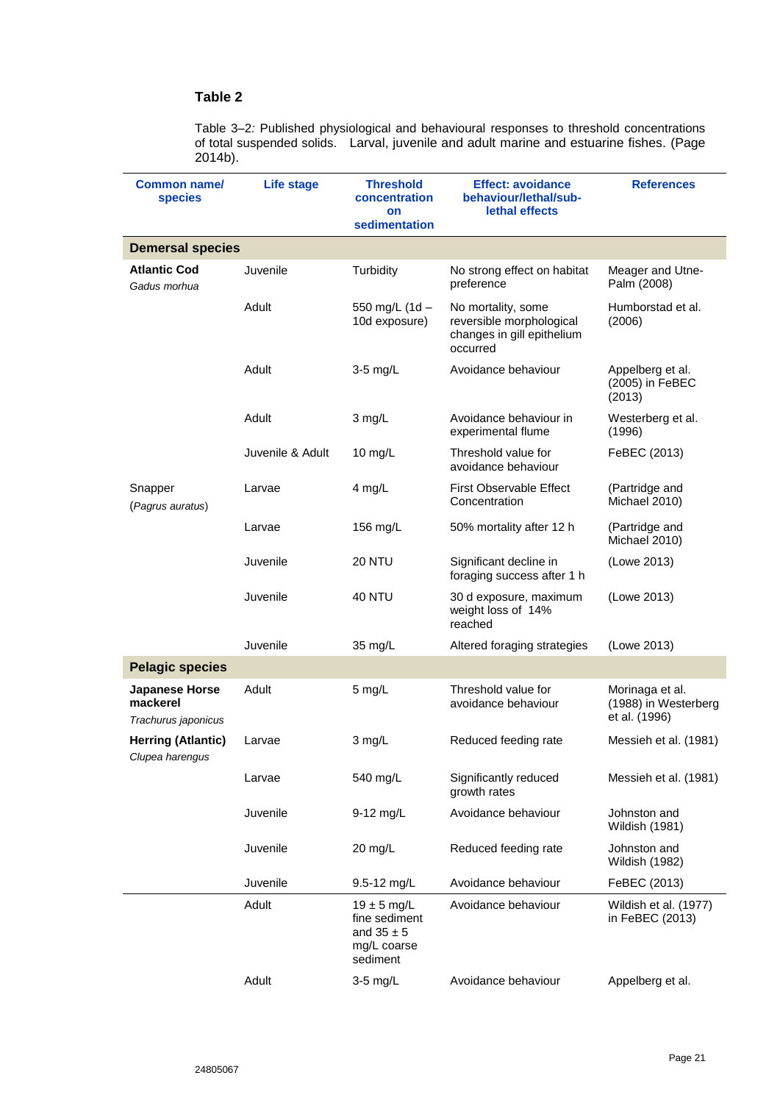# **Table 2**

Table 3–2*:* Published physiological and behavioural responses to threshold concentrations of total suspended solids. Larval, juvenile and adult marine and estuarine fishes. (Page  $2014b$ ).

| Common name/<br><b>species</b>                           | <b>Life stage</b> | <b>Threshold</b><br>concentration                                             | <b>Effect: avoidance</b><br>behaviour/lethal/sub-<br>lethal effects                      | <b>References</b>                                        |
|----------------------------------------------------------|-------------------|-------------------------------------------------------------------------------|------------------------------------------------------------------------------------------|----------------------------------------------------------|
|                                                          |                   | on<br>sedimentation                                                           |                                                                                          |                                                          |
| <b>Demersal species</b>                                  |                   |                                                                               |                                                                                          |                                                          |
| <b>Atlantic Cod</b><br>Gadus morhua                      | Juvenile          | Turbidity                                                                     | No strong effect on habitat<br>preference                                                | Meager and Utne-<br>Palm (2008)                          |
|                                                          | Adult             | 550 mg/L (1d -<br>10d exposure)                                               | No mortality, some<br>reversible morphological<br>changes in gill epithelium<br>occurred | Humborstad et al.<br>(2006)                              |
|                                                          | Adult             | 3-5 mg/L                                                                      | Avoidance behaviour                                                                      | Appelberg et al.<br>(2005) in FeBEC<br>(2013)            |
|                                                          | Adult             | 3 mg/L                                                                        | Avoidance behaviour in<br>experimental flume                                             | Westerberg et al.<br>(1996)                              |
|                                                          | Juvenile & Adult  | $10$ mg/L                                                                     | Threshold value for<br>avoidance behaviour                                               | FeBEC (2013)                                             |
| Snapper<br>(Pagrus auratus)                              | Larvae            | 4 mg/L                                                                        | <b>First Observable Effect</b><br>Concentration                                          | (Partridge and<br>Michael 2010)                          |
|                                                          | Larvae            | 156 mg/L                                                                      | 50% mortality after 12 h                                                                 | (Partridge and<br>Michael 2010)                          |
|                                                          | Juvenile          | <b>20 NTU</b>                                                                 | Significant decline in<br>foraging success after 1 h                                     | (Lowe 2013)                                              |
|                                                          | Juvenile          | <b>40 NTU</b>                                                                 | 30 d exposure, maximum<br>weight loss of 14%<br>reached                                  | (Lowe 2013)                                              |
|                                                          | Juvenile          | $35 \text{ mg/L}$                                                             | Altered foraging strategies                                                              | (Lowe 2013)                                              |
| <b>Pelagic species</b>                                   |                   |                                                                               |                                                                                          |                                                          |
| <b>Japanese Horse</b><br>mackerel<br>Trachurus japonicus | Adult             | 5 mg/L                                                                        | Threshold value for<br>avoidance behaviour                                               | Morinaga et al.<br>(1988) in Westerberg<br>et al. (1996) |
| <b>Herring (Atlantic)</b><br>Clupea harengus             | Larvae            | 3 mg/L                                                                        | Reduced feeding rate                                                                     | Messieh et al. (1981)                                    |
|                                                          | Larvae            | 540 mg/L                                                                      | Significantly reduced<br>growth rates                                                    | Messieh et al. (1981)                                    |
|                                                          | Juvenile          | 9-12 mg/L                                                                     | Avoidance behaviour                                                                      | Johnston and<br>Wildish (1981)                           |
|                                                          | Juvenile          | $20$ mg/L                                                                     | Reduced feeding rate                                                                     | Johnston and<br>Wildish (1982)                           |
|                                                          | Juvenile          | 9.5-12 mg/L                                                                   | Avoidance behaviour                                                                      | FeBEC (2013)                                             |
|                                                          | Adult             | $19 \pm 5$ mg/L<br>fine sediment<br>and $35 \pm 5$<br>mg/L coarse<br>sediment | Avoidance behaviour                                                                      | Wildish et al. (1977)<br>in FeBEC (2013)                 |
|                                                          | Adult             | 3-5 mg/L                                                                      | Avoidance behaviour                                                                      | Appelberg et al.                                         |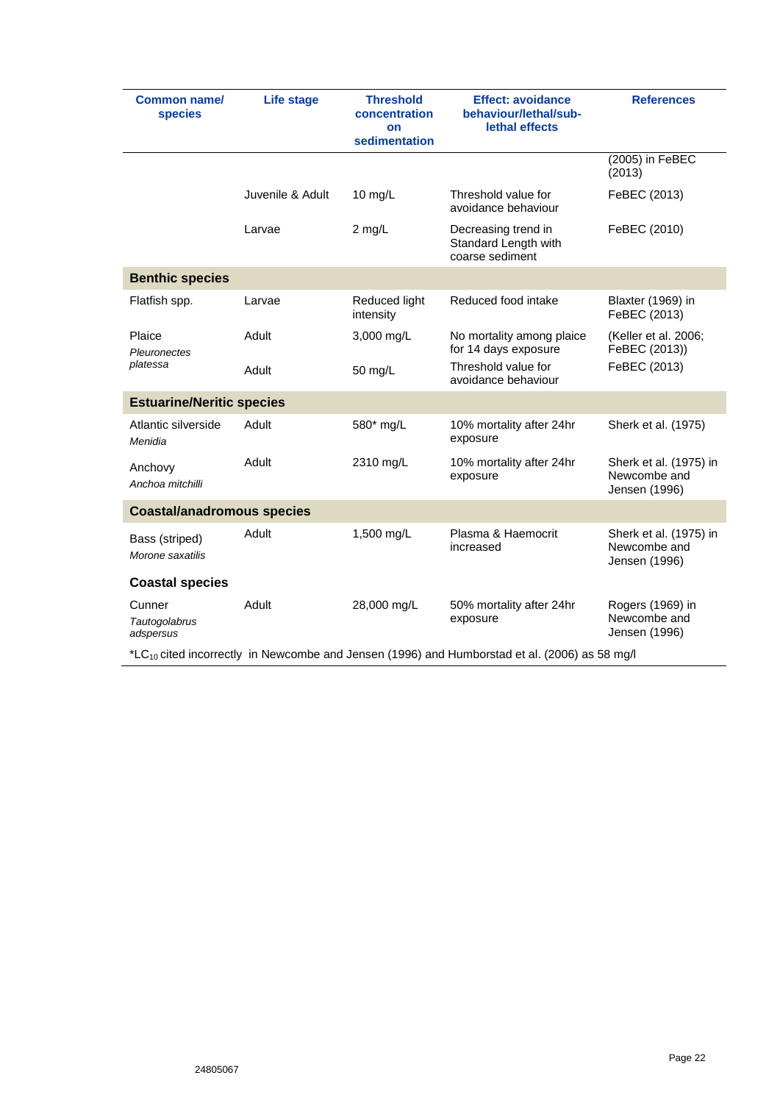| Common name/<br><b>species</b>                                                                          | Life stage       | <b>Threshold</b><br>concentration<br>on<br>sedimentation | <b>Effect: avoidance</b><br>behaviour/lethal/sub-<br>lethal effects | <b>References</b>                                       |  |  |
|---------------------------------------------------------------------------------------------------------|------------------|----------------------------------------------------------|---------------------------------------------------------------------|---------------------------------------------------------|--|--|
|                                                                                                         |                  |                                                          |                                                                     | (2005) in FeBEC<br>(2013)                               |  |  |
|                                                                                                         | Juvenile & Adult | 10 $mg/L$                                                | Threshold value for<br>avoidance behaviour                          | FeBEC (2013)                                            |  |  |
|                                                                                                         | Larvae           | 2 mg/L                                                   | Decreasing trend in<br>Standard Length with<br>coarse sediment      | FeBEC (2010)                                            |  |  |
| <b>Benthic species</b>                                                                                  |                  |                                                          |                                                                     |                                                         |  |  |
| Flatfish spp.                                                                                           | Larvae           | Reduced light<br>intensity                               | Reduced food intake                                                 | Blaxter (1969) in<br>FeBEC (2013)                       |  |  |
| Plaice<br><b>Pleuronectes</b>                                                                           | Adult            | 3,000 mg/L                                               | No mortality among plaice<br>for 14 days exposure                   | (Keller et al. 2006;<br>FeBEC (2013))                   |  |  |
| platessa                                                                                                | Adult            | 50 mg/L                                                  | Threshold value for<br>avoidance behaviour                          | FeBEC (2013)                                            |  |  |
| <b>Estuarine/Neritic species</b>                                                                        |                  |                                                          |                                                                     |                                                         |  |  |
| Atlantic silverside<br>Menidia                                                                          | Adult            | 580* mg/L                                                | 10% mortality after 24hr<br>exposure                                | Sherk et al. (1975)                                     |  |  |
| Anchovy<br>Anchoa mitchilli                                                                             | Adult            | 2310 mg/L                                                | 10% mortality after 24hr<br>exposure                                | Sherk et al. (1975) in<br>Newcombe and<br>Jensen (1996) |  |  |
| <b>Coastal/anadromous species</b>                                                                       |                  |                                                          |                                                                     |                                                         |  |  |
| Bass (striped)<br>Morone saxatilis                                                                      | Adult            | 1,500 mg/L                                               | Plasma & Haemocrit<br>increased                                     | Sherk et al. (1975) in<br>Newcombe and<br>Jensen (1996) |  |  |
| <b>Coastal species</b>                                                                                  |                  |                                                          |                                                                     |                                                         |  |  |
| Cunner<br>Tautogolabrus<br>adspersus                                                                    | Adult            | 28,000 mg/L                                              | 50% mortality after 24hr<br>exposure                                | Rogers (1969) in<br>Newcombe and<br>Jensen (1996)       |  |  |
| $L_{\text{L}}$ cited incorrectly in Newcombe and Jensen (1996) and Humborstad et al. (2006) as 58 mg/l* |                  |                                                          |                                                                     |                                                         |  |  |